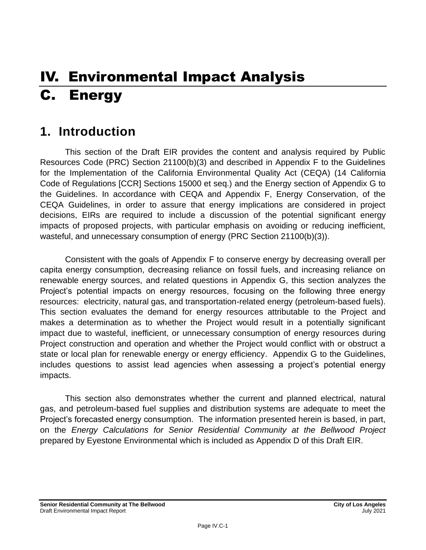# IV. Environmental Impact Analysis C. Energy

## **1. Introduction**

This section of the Draft EIR provides the content and analysis required by Public Resources Code (PRC) Section 21100(b)(3) and described in Appendix F to the Guidelines for the Implementation of the California Environmental Quality Act (CEQA) (14 California Code of Regulations [CCR] Sections 15000 et seq.) and the Energy section of Appendix G to the Guidelines. In accordance with CEQA and Appendix F, Energy Conservation, of the CEQA Guidelines, in order to assure that energy implications are considered in project decisions, EIRs are required to include a discussion of the potential significant energy impacts of proposed projects, with particular emphasis on avoiding or reducing inefficient, wasteful, and unnecessary consumption of energy (PRC Section 21100(b)(3)).

Consistent with the goals of Appendix F to conserve energy by decreasing overall per capita energy consumption, decreasing reliance on fossil fuels, and increasing reliance on renewable energy sources, and related questions in Appendix G, this section analyzes the Project's potential impacts on energy resources, focusing on the following three energy resources: electricity, natural gas, and transportation-related energy (petroleum-based fuels). This section evaluates the demand for energy resources attributable to the Project and makes a determination as to whether the Project would result in a potentially significant impact due to wasteful, inefficient, or unnecessary consumption of energy resources during Project construction and operation and whether the Project would conflict with or obstruct a state or local plan for renewable energy or energy efficiency. Appendix G to the Guidelines, includes questions to assist lead agencies when assessing a project's potential energy impacts.

This section also demonstrates whether the current and planned electrical, natural gas, and petroleum-based fuel supplies and distribution systems are adequate to meet the Project's forecasted energy consumption. The information presented herein is based, in part, on the *Energy Calculations for Senior Residential Community at the Bellwood Project*  prepared by Eyestone Environmental which is included as Appendix D of this Draft EIR.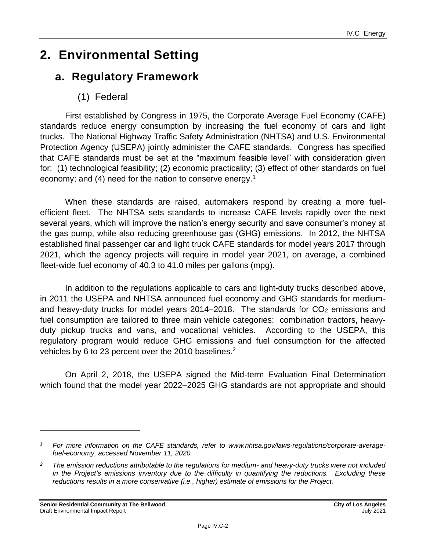## **2. Environmental Setting**

## **a. Regulatory Framework**

## (1) Federal

First established by Congress in 1975, the Corporate Average Fuel Economy (CAFE) standards reduce energy consumption by increasing the fuel economy of cars and light trucks. The National Highway Traffic Safety Administration (NHTSA) and U.S. Environmental Protection Agency (USEPA) jointly administer the CAFE standards. Congress has specified that CAFE standards must be set at the "maximum feasible level" with consideration given for: (1) technological feasibility; (2) economic practicality; (3) effect of other standards on fuel economy; and (4) need for the nation to conserve energy.<sup>1</sup>

When these standards are raised, automakers respond by creating a more fuelefficient fleet. The NHTSA sets standards to increase CAFE levels rapidly over the next several years, which will improve the nation's energy security and save consumer's money at the gas pump, while also reducing greenhouse gas (GHG) emissions. In 2012, the NHTSA established final passenger car and light truck CAFE standards for model years 2017 through 2021, which the agency projects will require in model year 2021, on average, a combined fleet-wide fuel economy of 40.3 to 41.0 miles per gallons (mpg).

In addition to the regulations applicable to cars and light-duty trucks described above, in 2011 the USEPA and NHTSA announced fuel economy and GHG standards for mediumand heavy-duty trucks for model years 2014–2018. The standards for  $CO<sub>2</sub>$  emissions and fuel consumption are tailored to three main vehicle categories: combination tractors, heavyduty pickup trucks and vans, and vocational vehicles. According to the USEPA, this regulatory program would reduce GHG emissions and fuel consumption for the affected vehicles by 6 to 23 percent over the 2010 baselines.<sup>2</sup>

On April 2, 2018, the USEPA signed the Mid-term Evaluation Final Determination which found that the model year 2022–2025 GHG standards are not appropriate and should

*<sup>1</sup> For more information on the CAFE standards, refer to www.nhtsa.gov/laws-regulations/corporate-averagefuel-economy, accessed November 11, 2020.*

*<sup>2</sup> The emission reductions attributable to the regulations for medium- and heavy-duty trucks were not included in the Project's emissions inventory due to the difficulty in quantifying the reductions. Excluding these reductions results in a more conservative (i.e., higher) estimate of emissions for the Project.*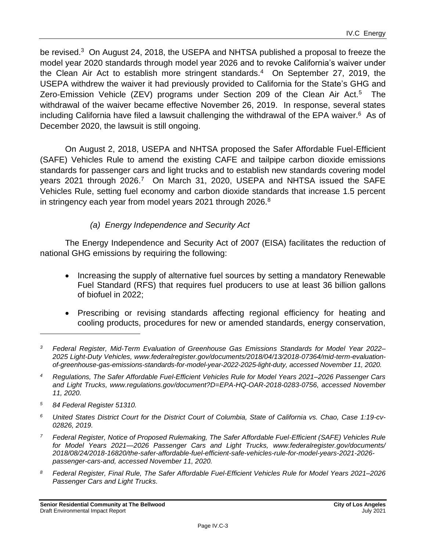be revised.<sup>3</sup> On August 24, 2018, the USEPA and NHTSA published a proposal to freeze the model year 2020 standards through model year 2026 and to revoke California's waiver under the Clean Air Act to establish more stringent standards.<sup>4</sup> On September 27, 2019, the USEPA withdrew the waiver it had previously provided to California for the State's GHG and Zero-Emission Vehicle (ZEV) programs under Section 209 of the Clean Air Act.<sup>5</sup> The withdrawal of the waiver became effective November 26, 2019. In response, several states including California have filed a lawsuit challenging the withdrawal of the EPA waiver. $6$  As of December 2020, the lawsuit is still ongoing.

On August 2, 2018, USEPA and NHTSA proposed the Safer Affordable Fuel-Efficient (SAFE) Vehicles Rule to amend the existing CAFE and tailpipe carbon dioxide emissions standards for passenger cars and light trucks and to establish new standards covering model years 2021 through 2026.<sup>7</sup> On March 31, 2020, USEPA and NHTSA issued the SAFE Vehicles Rule, setting fuel economy and carbon dioxide standards that increase 1.5 percent in stringency each year from model years 2021 through 2026.<sup>8</sup>

### *(a) Energy Independence and Security Act*

The Energy Independence and Security Act of 2007 (EISA) facilitates the reduction of national GHG emissions by requiring the following:

- Increasing the supply of alternative fuel sources by setting a mandatory Renewable Fuel Standard (RFS) that requires fuel producers to use at least 36 billion gallons of biofuel in 2022;
- Prescribing or revising standards affecting regional efficiency for heating and cooling products, procedures for new or amended standards, energy conservation,

- *<sup>5</sup> 84 Federal Register 51310.*
- *<sup>6</sup> United States District Court for the District Court of Columbia, State of California vs. Chao, Case 1:19-cv-02826, 2019.*
- *<sup>7</sup> Federal Register, Notice of Proposed Rulemaking, The Safer Affordable Fuel-Efficient (SAFE) Vehicles Rule for Model Years 2021—2026 Passenger Cars and Light Trucks, www.federalregister.gov/documents/ 2018/08/24/2018-16820/the-safer-affordable-fuel-efficient-safe-vehicles-rule-for-model-years-2021-2026 passenger-cars-and, accessed November 11, 2020.*
- *<sup>8</sup> Federal Register, Final Rule, The Safer Affordable Fuel-Efficient Vehicles Rule for Model Years 2021–2026 Passenger Cars and Light Trucks.*

*<sup>3</sup> Federal Register, Mid-Term Evaluation of Greenhouse Gas Emissions Standards for Model Year 2022– 2025 Light-Duty Vehicles, www.federalregister.gov/documents/2018/04/13/2018-07364/mid-term-evaluationof-greenhouse-gas-emissions-standards-for-model-year-2022-2025-light-duty, accessed November 11, 2020.*

*<sup>4</sup> Regulations, The Safer Affordable Fuel-Efficient Vehicles Rule for Model Years 2021–2026 Passenger Cars and Light Trucks, www.regulations.gov/document?D=EPA-HQ-OAR-2018-0283-0756, accessed November 11, 2020.*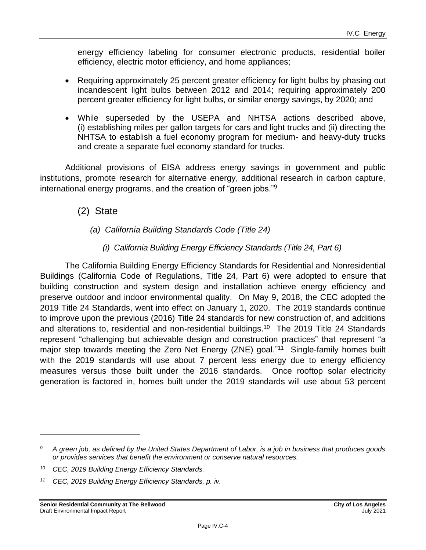energy efficiency labeling for consumer electronic products, residential boiler efficiency, electric motor efficiency, and home appliances;

- Requiring approximately 25 percent greater efficiency for light bulbs by phasing out incandescent light bulbs between 2012 and 2014; requiring approximately 200 percent greater efficiency for light bulbs, or similar energy savings, by 2020; and
- While superseded by the USEPA and NHTSA actions described above, (i) establishing miles per gallon targets for cars and light trucks and (ii) directing the NHTSA to establish a fuel economy program for medium- and heavy-duty trucks and create a separate fuel economy standard for trucks.

Additional provisions of EISA address energy savings in government and public institutions, promote research for alternative energy, additional research in carbon capture, international energy programs, and the creation of "green jobs."<sup>9</sup>

(2) State

#### *(a) California Building Standards Code (Title 24)*

*(i) California Building Energy Efficiency Standards (Title 24, Part 6)*

The California Building Energy Efficiency Standards for Residential and Nonresidential Buildings (California Code of Regulations, Title 24, Part 6) were adopted to ensure that building construction and system design and installation achieve energy efficiency and preserve outdoor and indoor environmental quality. On May 9, 2018, the CEC adopted the 2019 Title 24 Standards, went into effect on January 1, 2020. The 2019 standards continue to improve upon the previous (2016) Title 24 standards for new construction of, and additions and alterations to, residential and non-residential buildings.<sup>10</sup> The 2019 Title 24 Standards represent "challenging but achievable design and construction practices" that represent "a major step towards meeting the Zero Net Energy (ZNE) goal."<sup>11</sup> Single-family homes built with the 2019 standards will use about 7 percent less energy due to energy efficiency measures versus those built under the 2016 standards. Once rooftop solar electricity generation is factored in, homes built under the 2019 standards will use about 53 percent

*<sup>9</sup> A green job, as defined by the United States Department of Labor, is a job in business that produces goods or provides services that benefit the environment or conserve natural resources.*

*<sup>10</sup> CEC, 2019 Building Energy Efficiency Standards.*

*<sup>11</sup> CEC, 2019 Building Energy Efficiency Standards, p. iv.*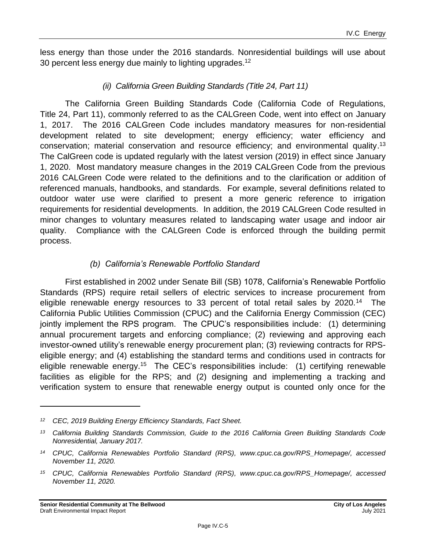less energy than those under the 2016 standards. Nonresidential buildings will use about 30 percent less energy due mainly to lighting upgrades.<sup>12</sup>

#### *(ii) California Green Building Standards (Title 24, Part 11)*

The California Green Building Standards Code (California Code of Regulations, Title 24, Part 11), commonly referred to as the CALGreen Code, went into effect on January 1, 2017. The 2016 CALGreen Code includes mandatory measures for non-residential development related to site development; energy efficiency; water efficiency and conservation; material conservation and resource efficiency; and environmental quality.<sup>13</sup> The CalGreen code is updated regularly with the latest version (2019) in effect since January 1, 2020. Most mandatory measure changes in the 2019 CALGreen Code from the previous 2016 CALGreen Code were related to the definitions and to the clarification or addition of referenced manuals, handbooks, and standards. For example, several definitions related to outdoor water use were clarified to present a more generic reference to irrigation requirements for residential developments. In addition, the 2019 CALGreen Code resulted in minor changes to voluntary measures related to landscaping water usage and indoor air quality. Compliance with the CALGreen Code is enforced through the building permit process.

#### *(b) California's Renewable Portfolio Standard*

First established in 2002 under Senate Bill (SB) 1078, California's Renewable Portfolio Standards (RPS) require retail sellers of electric services to increase procurement from eligible renewable energy resources to 33 percent of total retail sales by 2020.<sup>14</sup> The California Public Utilities Commission (CPUC) and the California Energy Commission (CEC) jointly implement the RPS program. The CPUC's responsibilities include: (1) determining annual procurement targets and enforcing compliance; (2) reviewing and approving each investor-owned utility's renewable energy procurement plan; (3) reviewing contracts for RPSeligible energy; and (4) establishing the standard terms and conditions used in contracts for eligible renewable energy.<sup>15</sup> The CEC's responsibilities include: (1) certifying renewable facilities as eligible for the RPS; and (2) designing and implementing a tracking and verification system to ensure that renewable energy output is counted only once for the

*<sup>12</sup> CEC, 2019 Building Energy Efficiency Standards, Fact Sheet.*

*<sup>13</sup> California Building Standards Commission, Guide to the 2016 California Green Building Standards Code Nonresidential, January 2017.*

*<sup>14</sup> CPUC, California Renewables Portfolio Standard (RPS), www.cpuc.ca.gov/RPS\_Homepage/, accessed November 11, 2020.*

*<sup>15</sup> CPUC, California Renewables Portfolio Standard (RPS), www.cpuc.ca.gov/RPS\_Homepage/, accessed November 11, 2020.*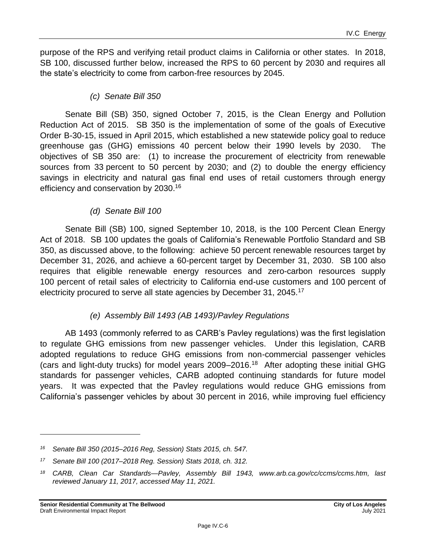purpose of the RPS and verifying retail product claims in California or other states. In 2018, SB 100, discussed further below, increased the RPS to 60 percent by 2030 and requires all the state's electricity to come from carbon-free resources by 2045.

#### *(c) Senate Bill 350*

Senate Bill (SB) 350, signed October 7, 2015, is the Clean Energy and Pollution Reduction Act of 2015. SB 350 is the implementation of some of the goals of Executive Order B-30-15, issued in April 2015, which established a new statewide policy goal to reduce greenhouse gas (GHG) emissions 40 percent below their 1990 levels by 2030. The objectives of SB 350 are: (1) to increase the procurement of electricity from renewable sources from 33 percent to 50 percent by 2030; and (2) to double the energy efficiency savings in electricity and natural gas final end uses of retail customers through energy efficiency and conservation by 2030.<sup>16</sup>

### *(d) Senate Bill 100*

Senate Bill (SB) 100, signed September 10, 2018, is the 100 Percent Clean Energy Act of 2018. SB 100 updates the goals of California's Renewable Portfolio Standard and SB 350, as discussed above, to the following: achieve 50 percent renewable resources target by December 31, 2026, and achieve a 60-percent target by December 31, 2030. SB 100 also requires that eligible renewable energy resources and zero-carbon resources supply 100 percent of retail sales of electricity to California end-use customers and 100 percent of electricity procured to serve all state agencies by December 31, 2045.<sup>17</sup>

## *(e) Assembly Bill 1493 (AB 1493)/Pavley Regulations*

AB 1493 (commonly referred to as CARB's Pavley regulations) was the first legislation to regulate GHG emissions from new passenger vehicles. Under this legislation, CARB adopted regulations to reduce GHG emissions from non-commercial passenger vehicles (cars and light-duty trucks) for model years 2009–2016.<sup>18</sup> After adopting these initial GHG standards for passenger vehicles, CARB adopted continuing standards for future model years. It was expected that the Pavley regulations would reduce GHG emissions from California's passenger vehicles by about 30 percent in 2016, while improving fuel efficiency

*<sup>16</sup> Senate Bill 350 (2015–2016 Reg, Session) Stats 2015, ch. 547.*

*<sup>17</sup> Senate Bill 100 (2017–2018 Reg. Session) Stats 2018, ch. 312.*

*<sup>18</sup> CARB, Clean Car Standards—Pavley, Assembly Bill 1943, www.arb.ca.gov/cc/ccms/ccms.htm, last reviewed January 11, 2017, accessed May 11, 2021.*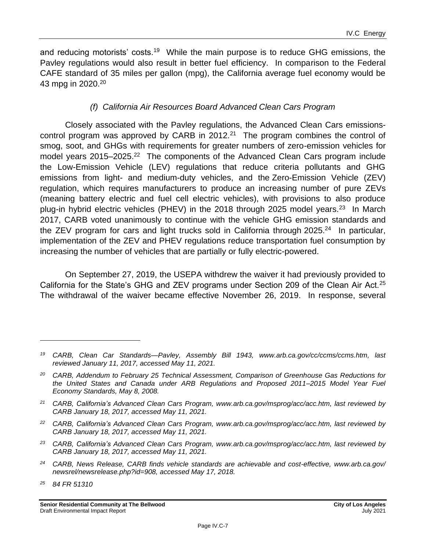and reducing motorists' costs.<sup>19</sup> While the main purpose is to reduce GHG emissions, the Pavley regulations would also result in better fuel efficiency. In comparison to the Federal CAFE standard of 35 miles per gallon (mpg), the California average fuel economy would be 43 mpg in 2020.<sup>20</sup>

### *(f) California Air Resources Board Advanced Clean Cars Program*

Closely associated with the Pavley regulations, the Advanced Clean Cars emissionscontrol program was approved by CARB in 2012.<sup>21</sup> The program combines the control of smog, soot, and GHGs with requirements for greater numbers of zero-emission vehicles for model years 2015–2025.<sup>22</sup> The components of the Advanced Clean Cars program include the Low-Emission Vehicle (LEV) regulations that reduce criteria pollutants and GHG emissions from light- and medium-duty vehicles, and the Zero-Emission Vehicle (ZEV) regulation, which requires manufacturers to produce an increasing number of pure ZEVs (meaning battery electric and fuel cell electric vehicles), with provisions to also produce plug-in hybrid electric vehicles (PHEV) in the 2018 through 2025 model years.<sup>23</sup> In March 2017, CARB voted unanimously to continue with the vehicle GHG emission standards and the ZEV program for cars and light trucks sold in California through 2025.<sup>24</sup> In particular, implementation of the ZEV and PHEV regulations reduce transportation fuel consumption by increasing the number of vehicles that are partially or fully electric-powered.

On September 27, 2019, the USEPA withdrew the waiver it had previously provided to California for the State's GHG and ZEV programs under Section 209 of the Clean Air Act.<sup>25</sup> The withdrawal of the waiver became effective November 26, 2019. In response, several

- *<sup>21</sup> CARB, California's Advanced Clean Cars Program, www.arb.ca.gov/msprog/acc/acc.htm, last reviewed by CARB January 18, 2017, accessed May 11, 2021.*
- *<sup>22</sup> CARB, California's Advanced Clean Cars Program, www.arb.ca.gov/msprog/acc/acc.htm, last reviewed by CARB January 18, 2017, accessed May 11, 2021.*
- *<sup>23</sup> CARB, California's Advanced Clean Cars Program, www.arb.ca.gov/msprog/acc/acc.htm, last reviewed by CARB January 18, 2017, accessed May 11, 2021.*
- *<sup>24</sup> CARB, News Release, CARB finds vehicle standards are achievable and cost-effective, www.arb.ca.gov/ newsrel/newsrelease.php?id=908, accessed May 17, 2018.*

*<sup>25</sup> 84 FR 51310*

*<sup>19</sup> CARB, Clean Car Standards—Pavley, Assembly Bill 1943, www.arb.ca.gov/cc/ccms/ccms.htm, last reviewed January 11, 2017, accessed May 11, 2021.*

*<sup>20</sup> CARB, Addendum to February 25 Technical Assessment, Comparison of Greenhouse Gas Reductions for the United States and Canada under ARB Regulations and Proposed 2011–2015 Model Year Fuel Economy Standards, May 8, 2008.*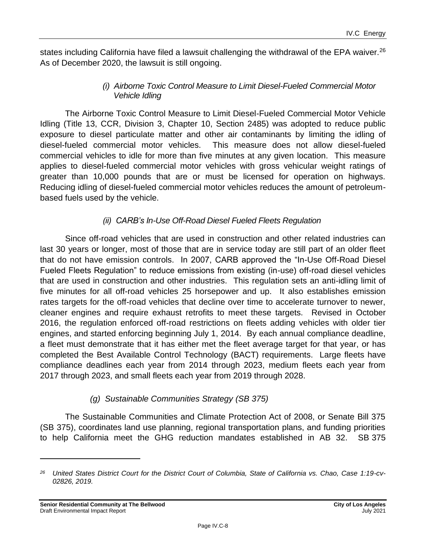states including California have filed a lawsuit challenging the withdrawal of the EPA waiver.<sup>26</sup> As of December 2020, the lawsuit is still ongoing.

#### *(i) Airborne Toxic Control Measure to Limit Diesel-Fueled Commercial Motor Vehicle Idling*

The Airborne Toxic Control Measure to Limit Diesel-Fueled Commercial Motor Vehicle Idling (Title 13, CCR, Division 3, Chapter 10, Section 2485) was adopted to reduce public exposure to diesel particulate matter and other air contaminants by limiting the idling of diesel-fueled commercial motor vehicles. This measure does not allow diesel-fueled commercial vehicles to idle for more than five minutes at any given location. This measure applies to diesel-fueled commercial motor vehicles with gross vehicular weight ratings of greater than 10,000 pounds that are or must be licensed for operation on highways. Reducing idling of diesel-fueled commercial motor vehicles reduces the amount of petroleumbased fuels used by the vehicle.

### *(ii) CARB's In-Use Off-Road Diesel Fueled Fleets Regulation*

Since off-road vehicles that are used in construction and other related industries can last 30 years or longer, most of those that are in service today are still part of an older fleet that do not have emission controls. In 2007, CARB approved the "In-Use Off-Road Diesel Fueled Fleets Regulation" to reduce emissions from existing (in-use) off-road diesel vehicles that are used in construction and other industries. This regulation sets an anti-idling limit of five minutes for all off-road vehicles 25 horsepower and up. It also establishes emission rates targets for the off-road vehicles that decline over time to accelerate turnover to newer, cleaner engines and require exhaust retrofits to meet these targets. Revised in October 2016, the regulation enforced off-road restrictions on fleets adding vehicles with older tier engines, and started enforcing beginning July 1, 2014. By each annual compliance deadline, a fleet must demonstrate that it has either met the fleet average target for that year, or has completed the Best Available Control Technology (BACT) requirements. Large fleets have compliance deadlines each year from 2014 through 2023, medium fleets each year from 2017 through 2023, and small fleets each year from 2019 through 2028.

#### *(g) Sustainable Communities Strategy (SB 375)*

The Sustainable Communities and Climate Protection Act of 2008, or Senate Bill 375 (SB 375), coordinates land use planning, regional transportation plans, and funding priorities to help California meet the GHG reduction mandates established in AB 32. SB 375

*<sup>26</sup> United States District Court for the District Court of Columbia, State of California vs. Chao, Case 1:19-cv-02826, 2019.*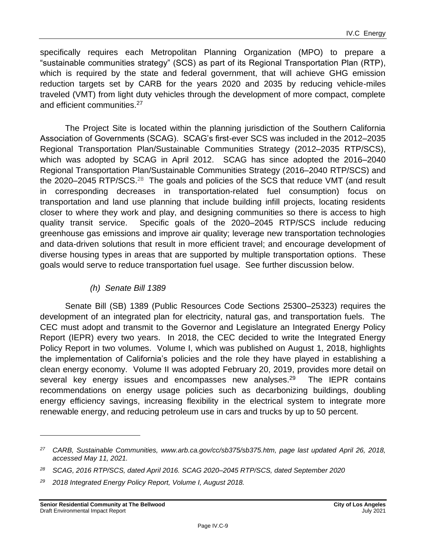specifically requires each Metropolitan Planning Organization (MPO) to prepare a "sustainable communities strategy" (SCS) as part of its Regional Transportation Plan (RTP), which is required by the state and federal government, that will achieve GHG emission reduction targets set by CARB for the years 2020 and 2035 by reducing vehicle-miles traveled (VMT) from light duty vehicles through the development of more compact, complete and efficient communities. 27

The Project Site is located within the planning jurisdiction of the Southern California Association of Governments (SCAG). SCAG's first-ever SCS was included in the 2012–2035 Regional Transportation Plan/Sustainable Communities Strategy (2012–2035 RTP/SCS), which was adopted by SCAG in April 2012. SCAG has since adopted the 2016–2040 Regional Transportation Plan/Sustainable Communities Strategy (2016–2040 RTP/SCS) and the 2020–2045 RTP/SCS. $^{28}$  The goals and policies of the SCS that reduce VMT (and result in corresponding decreases in transportation-related fuel consumption) focus on transportation and land use planning that include building infill projects, locating residents closer to where they work and play, and designing communities so there is access to high quality transit service. Specific goals of the 2020–2045 RTP/SCS include reducing greenhouse gas emissions and improve air quality; leverage new transportation technologies and data-driven solutions that result in more efficient travel; and encourage development of diverse housing types in areas that are supported by multiple transportation options. These goals would serve to reduce transportation fuel usage. See further discussion below.

#### *(h) Senate Bill 1389*

Senate Bill (SB) 1389 (Public Resources Code Sections 25300–25323) requires the development of an integrated plan for electricity, natural gas, and transportation fuels. The CEC must adopt and transmit to the Governor and Legislature an Integrated Energy Policy Report (IEPR) every two years. In 2018, the CEC decided to write the Integrated Energy Policy Report in two volumes. Volume I, which was published on August 1, 2018, highlights the implementation of California's policies and the role they have played in establishing a clean energy economy. Volume II was adopted February 20, 2019, provides more detail on several key energy issues and encompasses new analyses. $^{29}$  The IEPR contains recommendations on energy usage policies such as decarbonizing buildings, doubling energy efficiency savings, increasing flexibility in the electrical system to integrate more renewable energy, and reducing petroleum use in cars and trucks by up to 50 percent.

*<sup>27</sup> CARB, Sustainable Communities, www.arb.ca.gov/cc/sb375/sb375.htm, page last updated April 26, 2018, accessed May 11, 2021.*

*<sup>28</sup> SCAG, 2016 RTP/SCS, dated April 2016. SCAG 2020–2045 RTP/SCS, dated September 2020*

*<sup>29</sup> 2018 Integrated Energy Policy Report, Volume I, August 2018.*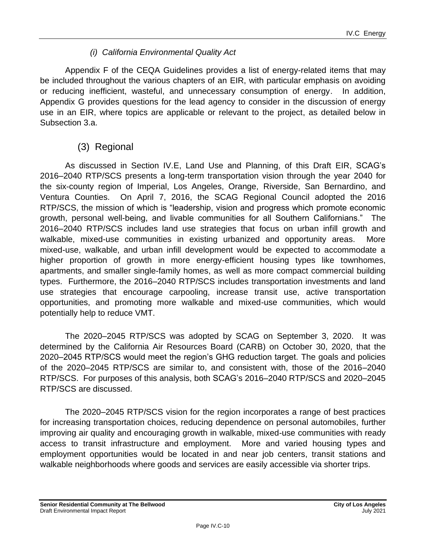#### *(i) California Environmental Quality Act*

Appendix F of the CEQA Guidelines provides a list of energy-related items that may be included throughout the various chapters of an EIR, with particular emphasis on avoiding or reducing inefficient, wasteful, and unnecessary consumption of energy. In addition, Appendix G provides questions for the lead agency to consider in the discussion of energy use in an EIR, where topics are applicable or relevant to the project, as detailed below in Subsection 3.a.

## (3) Regional

As discussed in Section IV.E, Land Use and Planning, of this Draft EIR, SCAG's 2016–2040 RTP/SCS presents a long-term transportation vision through the year 2040 for the six-county region of Imperial, Los Angeles, Orange, Riverside, San Bernardino, and Ventura Counties. On April 7, 2016, the SCAG Regional Council adopted the 2016 RTP/SCS, the mission of which is "leadership, vision and progress which promote economic growth, personal well-being, and livable communities for all Southern Californians." The 2016–2040 RTP/SCS includes land use strategies that focus on urban infill growth and walkable, mixed-use communities in existing urbanized and opportunity areas. More mixed-use, walkable, and urban infill development would be expected to accommodate a higher proportion of growth in more energy-efficient housing types like townhomes, apartments, and smaller single-family homes, as well as more compact commercial building types. Furthermore, the 2016–2040 RTP/SCS includes transportation investments and land use strategies that encourage carpooling, increase transit use, active transportation opportunities, and promoting more walkable and mixed-use communities, which would potentially help to reduce VMT.

The 2020–2045 RTP/SCS was adopted by SCAG on September 3, 2020. It was determined by the California Air Resources Board (CARB) on October 30, 2020, that the 2020–2045 RTP/SCS would meet the region's GHG reduction target. The goals and policies of the 2020–2045 RTP/SCS are similar to, and consistent with, those of the 2016–2040 RTP/SCS. For purposes of this analysis, both SCAG's 2016–2040 RTP/SCS and 2020–2045 RTP/SCS are discussed.

The 2020–2045 RTP/SCS vision for the region incorporates a range of best practices for increasing transportation choices, reducing dependence on personal automobiles, further improving air quality and encouraging growth in walkable, mixed-use communities with ready access to transit infrastructure and employment. More and varied housing types and employment opportunities would be located in and near job centers, transit stations and walkable neighborhoods where goods and services are easily accessible via shorter trips.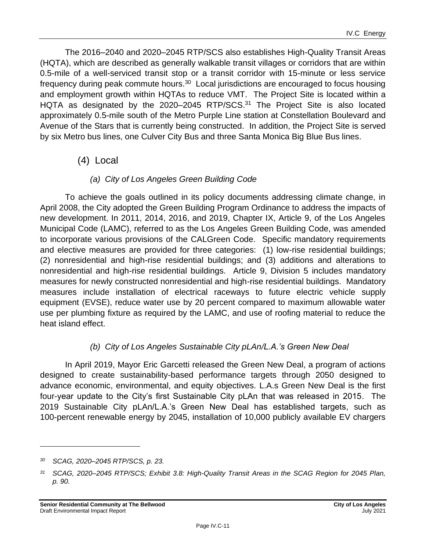The 2016–2040 and 2020–2045 RTP/SCS also establishes High-Quality Transit Areas (HQTA), which are described as generally walkable transit villages or corridors that are within 0.5-mile of a well-serviced transit stop or a transit corridor with 15-minute or less service frequency during peak commute hours.<sup>30</sup> Local jurisdictions are encouraged to focus housing and employment growth within HQTAs to reduce VMT. The Project Site is located within a HQTA as designated by the 2020–2045 RTP/SCS.<sup>31</sup> The Project Site is also located approximately 0.5-mile south of the Metro Purple Line station at Constellation Boulevard and Avenue of the Stars that is currently being constructed. In addition, the Project Site is served by six Metro bus lines, one Culver City Bus and three Santa Monica Big Blue Bus lines.

## (4) Local

### *(a) City of Los Angeles Green Building Code*

To achieve the goals outlined in its policy documents addressing climate change, in April 2008, the City adopted the Green Building Program Ordinance to address the impacts of new development. In 2011, 2014, 2016, and 2019, Chapter IX, Article 9, of the Los Angeles Municipal Code (LAMC), referred to as the Los Angeles Green Building Code, was amended to incorporate various provisions of the CALGreen Code. Specific mandatory requirements and elective measures are provided for three categories: (1) low-rise residential buildings; (2) nonresidential and high-rise residential buildings; and (3) additions and alterations to nonresidential and high-rise residential buildings. Article 9, Division 5 includes mandatory measures for newly constructed nonresidential and high-rise residential buildings. Mandatory measures include installation of electrical raceways to future electric vehicle supply equipment (EVSE), reduce water use by 20 percent compared to maximum allowable water use per plumbing fixture as required by the LAMC, and use of roofing material to reduce the heat island effect.

## *(b) City of Los Angeles Sustainable City pLAn/L.A.'s Green New Deal*

In April 2019, Mayor Eric Garcetti released the Green New Deal, a program of actions designed to create sustainability-based performance targets through 2050 designed to advance economic, environmental, and equity objectives. L.A.s Green New Deal is the first four-year update to the City's first Sustainable City pLAn that was released in 2015. The 2019 Sustainable City pLAn/L.A.'s Green New Deal has established targets, such as 100-percent renewable energy by 2045, installation of 10,000 publicly available EV chargers

*<sup>30</sup> SCAG, 2020–2045 RTP/SCS, p. 23.*

*<sup>31</sup> SCAG, 2020–2045 RTP/SCS; Exhibit 3.8: High-Quality Transit Areas in the SCAG Region for 2045 Plan, p. 90.*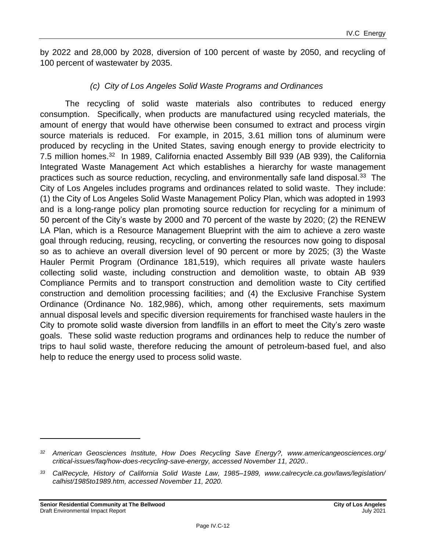by 2022 and 28,000 by 2028, diversion of 100 percent of waste by 2050, and recycling of 100 percent of wastewater by 2035.

#### *(c) City of Los Angeles Solid Waste Programs and Ordinances*

The recycling of solid waste materials also contributes to reduced energy consumption. Specifically, when products are manufactured using recycled materials, the amount of energy that would have otherwise been consumed to extract and process virgin source materials is reduced. For example, in 2015, 3.61 million tons of aluminum were produced by recycling in the United States, saving enough energy to provide electricity to 7.5 million homes.<sup>32</sup> In 1989, California enacted Assembly Bill 939 (AB 939), the California Integrated Waste Management Act which establishes a hierarchy for waste management practices such as source reduction, recycling, and environmentally safe land disposal.<sup>33</sup> The City of Los Angeles includes programs and ordinances related to solid waste. They include: (1) the City of Los Angeles Solid Waste Management Policy Plan, which was adopted in 1993 and is a long-range policy plan promoting source reduction for recycling for a minimum of 50 percent of the City's waste by 2000 and 70 percent of the waste by 2020; (2) the RENEW LA Plan, which is a Resource Management Blueprint with the aim to achieve a zero waste goal through reducing, reusing, recycling, or converting the resources now going to disposal so as to achieve an overall diversion level of 90 percent or more by 2025; (3) the Waste Hauler Permit Program (Ordinance 181,519), which requires all private waste haulers collecting solid waste, including construction and demolition waste, to obtain AB 939 Compliance Permits and to transport construction and demolition waste to City certified construction and demolition processing facilities; and (4) the Exclusive Franchise System Ordinance (Ordinance No. 182,986), which, among other requirements, sets maximum annual disposal levels and specific diversion requirements for franchised waste haulers in the City to promote solid waste diversion from landfills in an effort to meet the City's zero waste goals. These solid waste reduction programs and ordinances help to reduce the number of trips to haul solid waste, therefore reducing the amount of petroleum-based fuel, and also help to reduce the energy used to process solid waste.

*<sup>32</sup> American Geosciences Institute, How Does Recycling Save Energy?, www.americangeosciences.org/ critical-issues/faq/how-does-recycling-save-energy, accessed November 11, 2020..*

*<sup>33</sup> CalRecycle, History of California Solid Waste Law, 1985–1989, www.calrecycle.ca.gov/laws/legislation/ calhist/1985to1989.htm, accessed November 11, 2020.*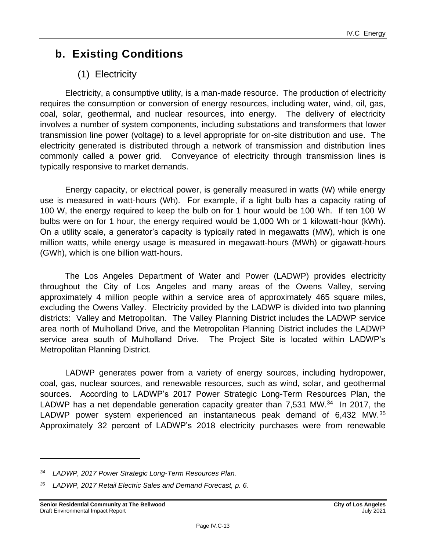## **b. Existing Conditions**

## (1) Electricity

Electricity, a consumptive utility, is a man-made resource. The production of electricity requires the consumption or conversion of energy resources, including water, wind, oil, gas, coal, solar, geothermal, and nuclear resources, into energy. The delivery of electricity involves a number of system components, including substations and transformers that lower transmission line power (voltage) to a level appropriate for on-site distribution and use. The electricity generated is distributed through a network of transmission and distribution lines commonly called a power grid. Conveyance of electricity through transmission lines is typically responsive to market demands.

Energy capacity, or electrical power, is generally measured in watts (W) while energy use is measured in watt-hours (Wh). For example, if a light bulb has a capacity rating of 100 W, the energy required to keep the bulb on for 1 hour would be 100 Wh. If ten 100 W bulbs were on for 1 hour, the energy required would be 1,000 Wh or 1 kilowatt-hour (kWh). On a utility scale, a generator's capacity is typically rated in megawatts (MW), which is one million watts, while energy usage is measured in megawatt-hours (MWh) or gigawatt-hours (GWh), which is one billion watt-hours.

The Los Angeles Department of Water and Power (LADWP) provides electricity throughout the City of Los Angeles and many areas of the Owens Valley, serving approximately 4 million people within a service area of approximately 465 square miles, excluding the Owens Valley. Electricity provided by the LADWP is divided into two planning districts: Valley and Metropolitan. The Valley Planning District includes the LADWP service area north of Mulholland Drive, and the Metropolitan Planning District includes the LADWP service area south of Mulholland Drive. The Project Site is located within LADWP's Metropolitan Planning District.

LADWP generates power from a variety of energy sources, including hydropower, coal, gas, nuclear sources, and renewable resources, such as wind, solar, and geothermal sources. According to LADWP's 2017 Power Strategic Long-Term Resources Plan, the LADWP has a net dependable generation capacity greater than 7,531 MW.<sup>34</sup> In 2017, the LADWP power system experienced an instantaneous peak demand of 6,432 MW.<sup>35</sup> Approximately 32 percent of LADWP's 2018 electricity purchases were from renewable

*<sup>34</sup> LADWP, 2017 Power Strategic Long-Term Resources Plan.*

*<sup>35</sup> LADWP, 2017 Retail Electric Sales and Demand Forecast, p. 6.*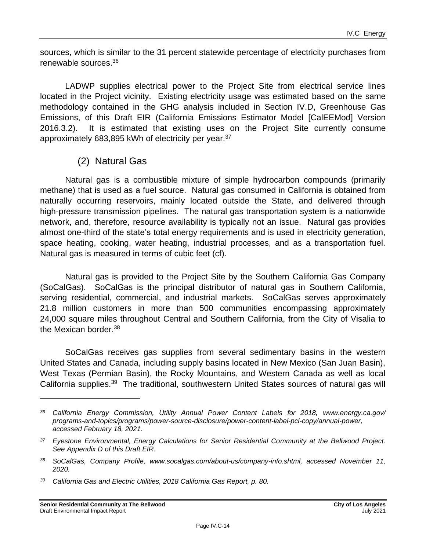sources, which is similar to the 31 percent statewide percentage of electricity purchases from renewable sources. 36

LADWP supplies electrical power to the Project Site from electrical service lines located in the Project vicinity. Existing electricity usage was estimated based on the same methodology contained in the GHG analysis included in Section IV.D, Greenhouse Gas Emissions, of this Draft EIR (California Emissions Estimator Model [CalEEMod] Version 2016.3.2). It is estimated that existing uses on the Project Site currently consume approximately 683,895 kWh of electricity per year.<sup>37</sup>

## (2) Natural Gas

Natural gas is a combustible mixture of simple hydrocarbon compounds (primarily methane) that is used as a fuel source. Natural gas consumed in California is obtained from naturally occurring reservoirs, mainly located outside the State, and delivered through high-pressure transmission pipelines. The natural gas transportation system is a nationwide network, and, therefore, resource availability is typically not an issue. Natural gas provides almost one-third of the state's total energy requirements and is used in electricity generation, space heating, cooking, water heating, industrial processes, and as a transportation fuel. Natural gas is measured in terms of cubic feet (cf).

Natural gas is provided to the Project Site by the Southern California Gas Company (SoCalGas). SoCalGas is the principal distributor of natural gas in Southern California, serving residential, commercial, and industrial markets. SoCalGas serves approximately 21.8 million customers in more than 500 communities encompassing approximately 24,000 square miles throughout Central and Southern California, from the City of Visalia to the Mexican border.<sup>38</sup>

SoCalGas receives gas supplies from several sedimentary basins in the western United States and Canada, including supply basins located in New Mexico (San Juan Basin), West Texas (Permian Basin), the Rocky Mountains, and Western Canada as well as local California supplies.<sup>39</sup> The traditional, southwestern United States sources of natural gas will

*<sup>36</sup> California Energy Commission, Utility Annual Power Content Labels for 2018, www.energy.ca.gov/ programs-and-topics/programs/power-source-disclosure/power-content-label-pcl-copy/annual-power, accessed February 18, 2021.*

*<sup>37</sup> Eyestone Environmental, Energy Calculations for Senior Residential Community at the Bellwood Project. See Appendix D of this Draft EIR.*

*<sup>38</sup> SoCalGas, Company Profile, www.socalgas.com/about-us/company-info.shtml, accessed November 11, 2020.*

*<sup>39</sup> California Gas and Electric Utilities, 2018 California Gas Report, p. 80.*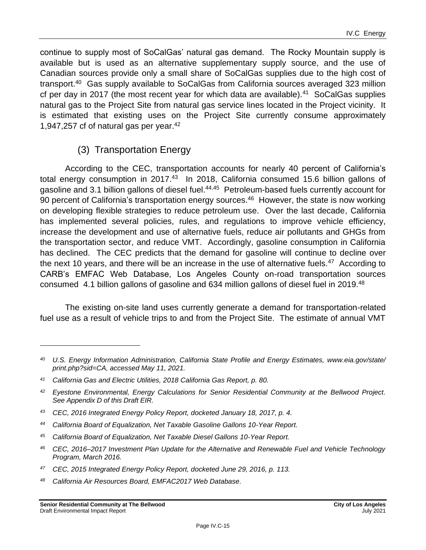continue to supply most of SoCalGas' natural gas demand. The Rocky Mountain supply is available but is used as an alternative supplementary supply source, and the use of Canadian sources provide only a small share of SoCalGas supplies due to the high cost of transport.<sup>40</sup> Gas supply available to SoCalGas from California sources averaged 323 million cf per day in 2017 (the most recent year for which data are available). $41$  SoCalGas supplies natural gas to the Project Site from natural gas service lines located in the Project vicinity. It is estimated that existing uses on the Project Site currently consume approximately 1,947,257 cf of natural gas per year.<sup>42</sup>

## (3) Transportation Energy

According to the CEC, transportation accounts for nearly 40 percent of California's total energy consumption in 2017.<sup>43</sup> In 2018, California consumed 15.6 billion gallons of gasoline and 3.1 billion gallons of diesel fuel.<sup>44,45</sup> Petroleum-based fuels currently account for 90 percent of California's transportation energy sources.<sup>46</sup> However, the state is now working on developing flexible strategies to reduce petroleum use. Over the last decade, California has implemented several policies, rules, and regulations to improve vehicle efficiency, increase the development and use of alternative fuels, reduce air pollutants and GHGs from the transportation sector, and reduce VMT. Accordingly, gasoline consumption in California has declined. The CEC predicts that the demand for gasoline will continue to decline over the next 10 years, and there will be an increase in the use of alternative fuels. $47$  According to CARB's EMFAC Web Database, Los Angeles County on-road transportation sources consumed 4.1 billion gallons of gasoline and 634 million gallons of diesel fuel in 2019.<sup>48</sup>

The existing on-site land uses currently generate a demand for transportation-related fuel use as a result of vehicle trips to and from the Project Site. The estimate of annual VMT

- *<sup>43</sup> CEC, 2016 Integrated Energy Policy Report, docketed January 18, 2017, p. 4.*
- *<sup>44</sup> California Board of Equalization, Net Taxable Gasoline Gallons 10-Year Report.*
- *<sup>45</sup> California Board of Equalization, Net Taxable Diesel Gallons 10-Year Report.*
- *<sup>46</sup> CEC, 2016–2017 Investment Plan Update for the Alternative and Renewable Fuel and Vehicle Technology Program, March 2016.*
- *<sup>47</sup> CEC, 2015 Integrated Energy Policy Report, docketed June 29, 2016, p. 113.*
- *<sup>48</sup> California Air Resources Board, EMFAC2017 Web Database.*

*<sup>40</sup> U.S. Energy Information Administration, California State Profile and Energy Estimates, www.eia.gov/state/ print.php?sid=CA, accessed May 11, 2021.*

*<sup>41</sup> California Gas and Electric Utilities, 2018 California Gas Report, p. 80.*

*<sup>42</sup> Eyestone Environmental, Energy Calculations for Senior Residential Community at the Bellwood Project. See Appendix D of this Draft EIR.*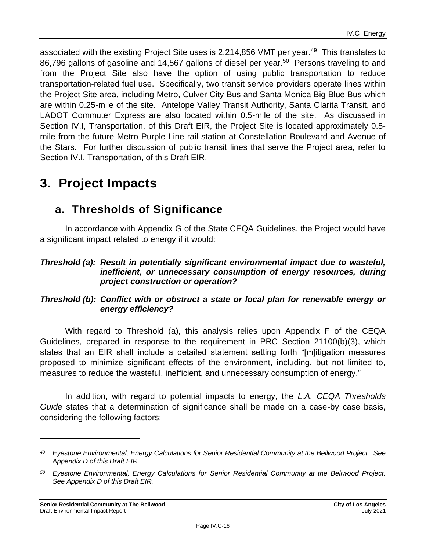associated with the existing Project Site uses is 2,214,856 VMT per year.<sup>49</sup> This translates to 86,796 gallons of gasoline and 14,567 gallons of diesel per year.<sup>50</sup> Persons traveling to and from the Project Site also have the option of using public transportation to reduce transportation-related fuel use. Specifically, two transit service providers operate lines within the Project Site area, including Metro, Culver City Bus and Santa Monica Big Blue Bus which are within 0.25-mile of the site. Antelope Valley Transit Authority, Santa Clarita Transit, and LADOT Commuter Express are also located within 0.5-mile of the site. As discussed in Section IV.I, Transportation, of this Draft EIR, the Project Site is located approximately 0.5 mile from the future Metro Purple Line rail station at Constellation Boulevard and Avenue of the Stars. For further discussion of public transit lines that serve the Project area, refer to Section IV.I, Transportation, of this Draft EIR.

## **3. Project Impacts**

## **a. Thresholds of Significance**

In accordance with Appendix G of the State CEQA Guidelines, the Project would have a significant impact related to energy if it would:

#### *Threshold (a): Result in potentially significant environmental impact due to wasteful, inefficient, or unnecessary consumption of energy resources, during project construction or operation?*

### *Threshold (b): Conflict with or obstruct a state or local plan for renewable energy or energy efficiency?*

With regard to Threshold (a), this analysis relies upon Appendix F of the CEQA Guidelines, prepared in response to the requirement in PRC Section 21100(b)(3), which states that an EIR shall include a detailed statement setting forth "[m]itigation measures proposed to minimize significant effects of the environment, including, but not limited to, measures to reduce the wasteful, inefficient, and unnecessary consumption of energy."

In addition, with regard to potential impacts to energy, the *L.A. CEQA Thresholds Guide* states that a determination of significance shall be made on a case-by case basis, considering the following factors:

*<sup>49</sup> Eyestone Environmental, Energy Calculations for Senior Residential Community at the Bellwood Project. See Appendix D of this Draft EIR.*

*<sup>50</sup> Eyestone Environmental, Energy Calculations for Senior Residential Community at the Bellwood Project. See Appendix D of this Draft EIR.*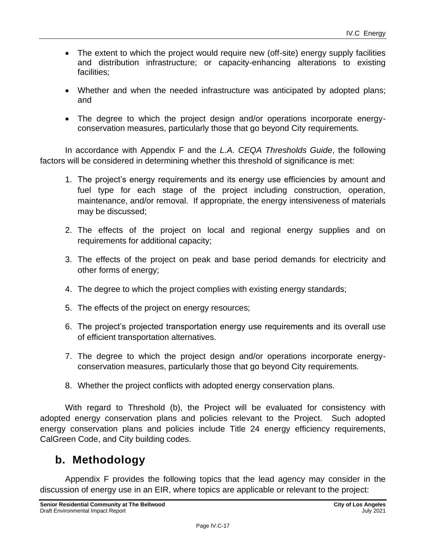- The extent to which the project would require new (off-site) energy supply facilities and distribution infrastructure; or capacity-enhancing alterations to existing facilities;
- Whether and when the needed infrastructure was anticipated by adopted plans; and
- The degree to which the project design and/or operations incorporate energyconservation measures, particularly those that go beyond City requirements.

In accordance with Appendix F and the *L.A. CEQA Thresholds Guide*, the following factors will be considered in determining whether this threshold of significance is met:

- 1. The project's energy requirements and its energy use efficiencies by amount and fuel type for each stage of the project including construction, operation, maintenance, and/or removal. If appropriate, the energy intensiveness of materials may be discussed;
- 2. The effects of the project on local and regional energy supplies and on requirements for additional capacity;
- 3. The effects of the project on peak and base period demands for electricity and other forms of energy;
- 4. The degree to which the project complies with existing energy standards;
- 5. The effects of the project on energy resources;
- 6. The project's projected transportation energy use requirements and its overall use of efficient transportation alternatives.
- 7. The degree to which the project design and/or operations incorporate energyconservation measures, particularly those that go beyond City requirements.
- 8. Whether the project conflicts with adopted energy conservation plans.

With regard to Threshold (b), the Project will be evaluated for consistency with adopted energy conservation plans and policies relevant to the Project. Such adopted energy conservation plans and policies include Title 24 energy efficiency requirements, CalGreen Code, and City building codes.

## **b. Methodology**

Appendix F provides the following topics that the lead agency may consider in the discussion of energy use in an EIR, where topics are applicable or relevant to the project: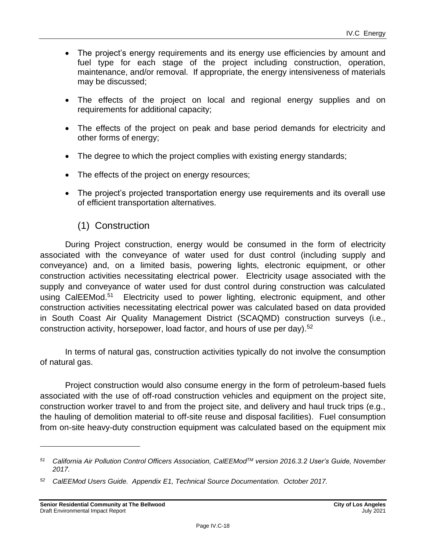- The project's energy requirements and its energy use efficiencies by amount and fuel type for each stage of the project including construction, operation, maintenance, and/or removal. If appropriate, the energy intensiveness of materials may be discussed;
- The effects of the project on local and regional energy supplies and on requirements for additional capacity;
- The effects of the project on peak and base period demands for electricity and other forms of energy;
- The degree to which the project complies with existing energy standards;
- The effects of the project on energy resources;
- The project's projected transportation energy use requirements and its overall use of efficient transportation alternatives.

## (1) Construction

During Project construction, energy would be consumed in the form of electricity associated with the conveyance of water used for dust control (including supply and conveyance) and, on a limited basis, powering lights, electronic equipment, or other construction activities necessitating electrical power. Electricity usage associated with the supply and conveyance of water used for dust control during construction was calculated using CalEEMod.<sup>51</sup> Electricity used to power lighting, electronic equipment, and other construction activities necessitating electrical power was calculated based on data provided in South Coast Air Quality Management District (SCAQMD) construction surveys (i.e., construction activity, horsepower, load factor, and hours of use per day).<sup>52</sup>

In terms of natural gas, construction activities typically do not involve the consumption of natural gas.

Project construction would also consume energy in the form of petroleum-based fuels associated with the use of off-road construction vehicles and equipment on the project site, construction worker travel to and from the project site, and delivery and haul truck trips (e.g., the hauling of demolition material to off-site reuse and disposal facilities). Fuel consumption from on-site heavy-duty construction equipment was calculated based on the equipment mix

*<sup>51</sup> California Air Pollution Control Officers Association, CalEEModTM version 2016.3.2 User's Guide, November 2017.*

*<sup>52</sup> CalEEMod Users Guide. Appendix E1, Technical Source Documentation. October 2017.*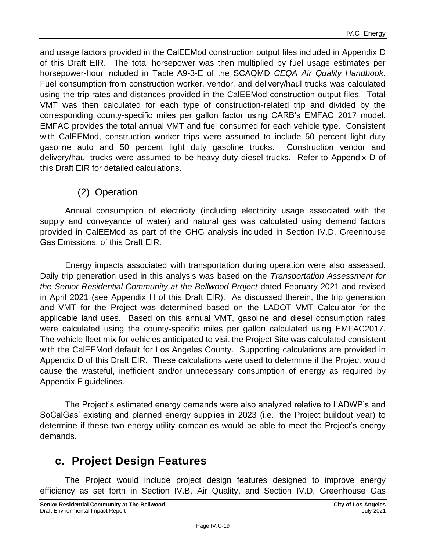and usage factors provided in the CalEEMod construction output files included in Appendix D of this Draft EIR. The total horsepower was then multiplied by fuel usage estimates per horsepower-hour included in Table A9-3-E of the SCAQMD *CEQA Air Quality Handbook*. Fuel consumption from construction worker, vendor, and delivery/haul trucks was calculated using the trip rates and distances provided in the CalEEMod construction output files. Total VMT was then calculated for each type of construction-related trip and divided by the corresponding county-specific miles per gallon factor using CARB's EMFAC 2017 model. EMFAC provides the total annual VMT and fuel consumed for each vehicle type. Consistent with CalEEMod, construction worker trips were assumed to include 50 percent light duty gasoline auto and 50 percent light duty gasoline trucks. Construction vendor and delivery/haul trucks were assumed to be heavy-duty diesel trucks. Refer to Appendix D of this Draft EIR for detailed calculations.

## (2) Operation

Annual consumption of electricity (including electricity usage associated with the supply and conveyance of water) and natural gas was calculated using demand factors provided in CalEEMod as part of the GHG analysis included in Section IV.D, Greenhouse Gas Emissions, of this Draft EIR.

Energy impacts associated with transportation during operation were also assessed. Daily trip generation used in this analysis was based on the *Transportation Assessment for the Senior Residential Community at the Bellwood Project* dated February 2021 and revised in April 2021 (see Appendix H of this Draft EIR). As discussed therein, the trip generation and VMT for the Project was determined based on the LADOT VMT Calculator for the applicable land uses. Based on this annual VMT, gasoline and diesel consumption rates were calculated using the county-specific miles per gallon calculated using EMFAC2017. The vehicle fleet mix for vehicles anticipated to visit the Project Site was calculated consistent with the CalEEMod default for Los Angeles County. Supporting calculations are provided in Appendix D of this Draft EIR. These calculations were used to determine if the Project would cause the wasteful, inefficient and/or unnecessary consumption of energy as required by Appendix F guidelines.

The Project's estimated energy demands were also analyzed relative to LADWP's and SoCalGas' existing and planned energy supplies in 2023 (i.e., the Project buildout year) to determine if these two energy utility companies would be able to meet the Project's energy demands.

## **c. Project Design Features**

The Project would include project design features designed to improve energy efficiency as set forth in Section IV.B, Air Quality, and Section IV.D, Greenhouse Gas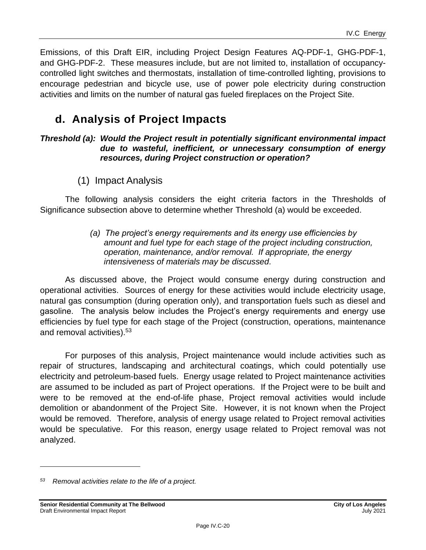Emissions, of this Draft EIR, including Project Design Features AQ-PDF-1, GHG-PDF-1, and GHG-PDF-2. These measures include, but are not limited to, installation of occupancycontrolled light switches and thermostats, installation of time-controlled lighting, provisions to encourage pedestrian and bicycle use, use of power pole electricity during construction activities and limits on the number of natural gas fueled fireplaces on the Project Site.

## **d. Analysis of Project Impacts**

#### *Threshold (a): Would the Project result in potentially significant environmental impact due to wasteful, inefficient, or unnecessary consumption of energy resources, during Project construction or operation?*

(1) Impact Analysis

The following analysis considers the eight criteria factors in the Thresholds of Significance subsection above to determine whether Threshold (a) would be exceeded.

#### *(a) The project's energy requirements and its energy use efficiencies by amount and fuel type for each stage of the project including construction, operation, maintenance, and/or removal. If appropriate, the energy intensiveness of materials may be discussed.*

As discussed above, the Project would consume energy during construction and operational activities. Sources of energy for these activities would include electricity usage, natural gas consumption (during operation only), and transportation fuels such as diesel and gasoline. The analysis below includes the Project's energy requirements and energy use efficiencies by fuel type for each stage of the Project (construction, operations, maintenance and removal activities).<sup>53</sup>

For purposes of this analysis, Project maintenance would include activities such as repair of structures, landscaping and architectural coatings, which could potentially use electricity and petroleum-based fuels. Energy usage related to Project maintenance activities are assumed to be included as part of Project operations. If the Project were to be built and were to be removed at the end-of-life phase, Project removal activities would include demolition or abandonment of the Project Site. However, it is not known when the Project would be removed. Therefore, analysis of energy usage related to Project removal activities would be speculative. For this reason, energy usage related to Project removal was not analyzed.

*<sup>53</sup> Removal activities relate to the life of a project.*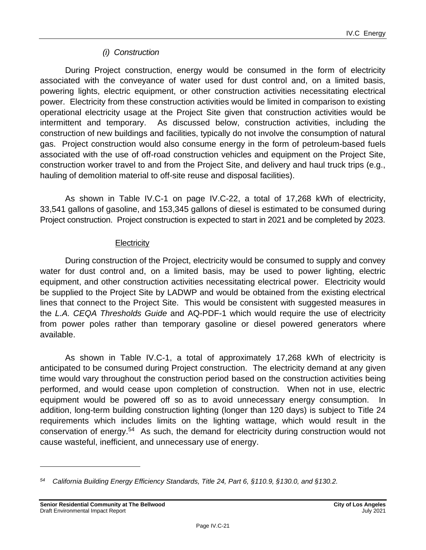### *(i) Construction*

During Project construction, energy would be consumed in the form of electricity associated with the conveyance of water used for dust control and, on a limited basis, powering lights, electric equipment, or other construction activities necessitating electrical power. Electricity from these construction activities would be limited in comparison to existing operational electricity usage at the Project Site given that construction activities would be intermittent and temporary. As discussed below, construction activities, including the construction of new buildings and facilities, typically do not involve the consumption of natural gas. Project construction would also consume energy in the form of petroleum-based fuels associated with the use of off-road construction vehicles and equipment on the Project Site, construction worker travel to and from the Project Site, and delivery and haul truck trips (e.g., hauling of demolition material to off-site reuse and disposal facilities).

As shown in Table IV.C-1 on page [IV.C-22,](#page-21-0) a total of 17,268 kWh of electricity, 33,541 gallons of gasoline, and 153,345 gallons of diesel is estimated to be consumed during Project construction. Project construction is expected to start in 2021 and be completed by 2023.

#### **Electricity**

During construction of the Project, electricity would be consumed to supply and convey water for dust control and, on a limited basis, may be used to power lighting, electric equipment, and other construction activities necessitating electrical power. Electricity would be supplied to the Project Site by LADWP and would be obtained from the existing electrical lines that connect to the Project Site. This would be consistent with suggested measures in the *L.A. CEQA Thresholds Guide* and AQ-PDF-1 which would require the use of electricity from power poles rather than temporary gasoline or diesel powered generators where available.

As shown in Table IV.C-1, a total of approximately 17,268 kWh of electricity is anticipated to be consumed during Project construction. The electricity demand at any given time would vary throughout the construction period based on the construction activities being performed, and would cease upon completion of construction. When not in use, electric equipment would be powered off so as to avoid unnecessary energy consumption. In addition, long-term building construction lighting (longer than 120 days) is subject to Title 24 requirements which includes limits on the lighting wattage, which would result in the conservation of energy.<sup>54</sup> As such, the demand for electricity during construction would not cause wasteful, inefficient, and unnecessary use of energy.

*<sup>54</sup> California Building Energy Efficiency Standards, Title 24, Part 6, §110.9, §130.0, and §130.2.*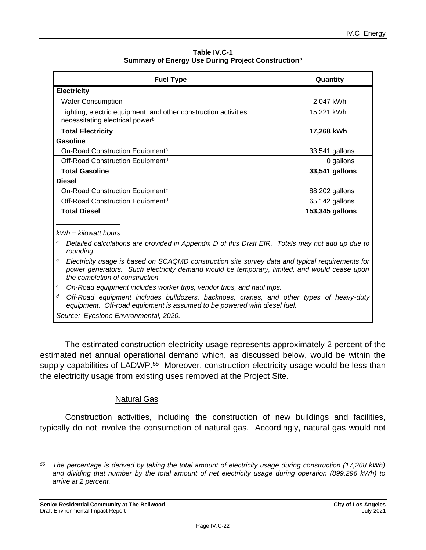| Table IV.C-1                                                   |
|----------------------------------------------------------------|
| Summary of Energy Use During Project Construction <sup>a</sup> |

<span id="page-21-0"></span>

| <b>Fuel Type</b>                                                                                               | Quantity        |
|----------------------------------------------------------------------------------------------------------------|-----------------|
| <b>Electricity</b>                                                                                             |                 |
| <b>Water Consumption</b>                                                                                       | 2,047 kWh       |
| Lighting, electric equipment, and other construction activities<br>necessitating electrical power <sup>b</sup> | 15,221 kWh      |
| <b>Total Electricity</b>                                                                                       | 17,268 kWh      |
| Gasoline                                                                                                       |                 |
| On-Road Construction Equipment <sup>c</sup>                                                                    | 33,541 gallons  |
| Off-Road Construction Equipment <sup>d</sup>                                                                   | 0 gallons       |
| <b>Total Gasoline</b>                                                                                          | 33,541 gallons  |
| <b>Diesel</b>                                                                                                  |                 |
| On-Road Construction Equipment <sup>c</sup>                                                                    | 88,202 gallons  |
| Off-Road Construction Equipment <sup>d</sup>                                                                   | 65,142 gallons  |
| <b>Total Diesel</b>                                                                                            | 153,345 gallons |

*kWh = kilowatt hours*

*<sup>a</sup> Detailed calculations are provided in Appendix D of this Draft EIR. Totals may not add up due to rounding.*

*<sup>b</sup>Electricity usage is based on SCAQMD construction site survey data and typical requirements for power generators. Such electricity demand would be temporary, limited, and would cease upon the completion of construction.*

*<sup>c</sup> On-Road equipment includes worker trips, vendor trips, and haul trips.*

*<sup>d</sup> Off-Road equipment includes bulldozers, backhoes, cranes, and other types of heavy-duty equipment. Off-road equipment is assumed to be powered with diesel fuel. Source: Eyestone Environmental, 2020.*

The estimated construction electricity usage represents approximately 2 percent of the estimated net annual operational demand which, as discussed below, would be within the supply capabilities of LADWP.<sup>55</sup> Moreover, construction electricity usage would be less than the electricity usage from existing uses removed at the Project Site.

#### Natural Gas

Construction activities, including the construction of new buildings and facilities, typically do not involve the consumption of natural gas. Accordingly, natural gas would not

*<sup>55</sup> The percentage is derived by taking the total amount of electricity usage during construction (17,268 kWh) and dividing that number by the total amount of net electricity usage during operation (899,296 kWh) to arrive at 2 percent.*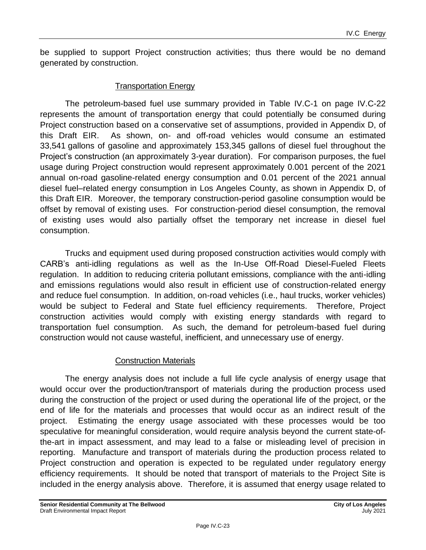be supplied to support Project construction activities; thus there would be no demand generated by construction.

#### Transportation Energy

The petroleum-based fuel use summary provided in Table IV.C-1 on page [IV.C-22](#page-21-0) represents the amount of transportation energy that could potentially be consumed during Project construction based on a conservative set of assumptions, provided in Appendix D, of this Draft EIR. As shown, on- and off-road vehicles would consume an estimated 33,541 gallons of gasoline and approximately 153,345 gallons of diesel fuel throughout the Project's construction (an approximately 3-year duration). For comparison purposes, the fuel usage during Project construction would represent approximately 0.001 percent of the 2021 annual on-road gasoline-related energy consumption and 0.01 percent of the 2021 annual diesel fuel–related energy consumption in Los Angeles County, as shown in Appendix D, of this Draft EIR. Moreover, the temporary construction-period gasoline consumption would be offset by removal of existing uses. For construction-period diesel consumption, the removal of existing uses would also partially offset the temporary net increase in diesel fuel consumption.

Trucks and equipment used during proposed construction activities would comply with CARB's anti-idling regulations as well as the In-Use Off-Road Diesel-Fueled Fleets regulation. In addition to reducing criteria pollutant emissions, compliance with the anti-idling and emissions regulations would also result in efficient use of construction-related energy and reduce fuel consumption. In addition, on-road vehicles (i.e., haul trucks, worker vehicles) would be subject to Federal and State fuel efficiency requirements. Therefore, Project construction activities would comply with existing energy standards with regard to transportation fuel consumption. As such, the demand for petroleum-based fuel during construction would not cause wasteful, inefficient, and unnecessary use of energy.

#### Construction Materials

The energy analysis does not include a full life cycle analysis of energy usage that would occur over the production/transport of materials during the production process used during the construction of the project or used during the operational life of the project, or the end of life for the materials and processes that would occur as an indirect result of the project. Estimating the energy usage associated with these processes would be too speculative for meaningful consideration, would require analysis beyond the current state-ofthe-art in impact assessment, and may lead to a false or misleading level of precision in reporting. Manufacture and transport of materials during the production process related to Project construction and operation is expected to be regulated under regulatory energy efficiency requirements. It should be noted that transport of materials to the Project Site is included in the energy analysis above. Therefore, it is assumed that energy usage related to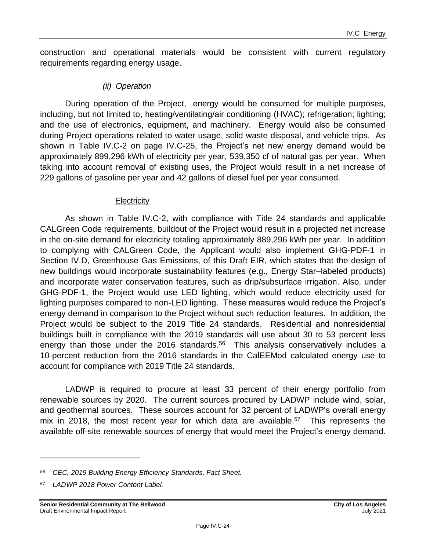construction and operational materials would be consistent with current regulatory requirements regarding energy usage.

#### *(ii) Operation*

During operation of the Project, energy would be consumed for multiple purposes, including, but not limited to, heating/ventilating/air conditioning (HVAC); refrigeration; lighting; and the use of electronics, equipment, and machinery. Energy would also be consumed during Project operations related to water usage, solid waste disposal, and vehicle trips. As shown in Table IV.C-2 on page IV.C-25, the Project's net new energy demand would be approximately 899,296 kWh of electricity per year, 539,350 cf of natural gas per year. When taking into account removal of existing uses, the Project would result in a net increase of 229 gallons of gasoline per year and 42 gallons of diesel fuel per year consumed.

#### **Electricity**

As shown in Table IV.C-2, with compliance with Title 24 standards and applicable CALGreen Code requirements, buildout of the Project would result in a projected net increase in the on-site demand for electricity totaling approximately 889,296 kWh per year. In addition to complying with CALGreen Code, the Applicant would also implement GHG-PDF-1 in Section IV.D, Greenhouse Gas Emissions, of this Draft EIR, which states that the design of new buildings would incorporate sustainability features (e.g., Energy Star–labeled products) and incorporate water conservation features, such as drip/subsurface irrigation. Also, under GHG-PDF-1, the Project would use LED lighting, which would reduce electricity used for lighting purposes compared to non-LED lighting. These measures would reduce the Project's energy demand in comparison to the Project without such reduction features. In addition, the Project would be subject to the 2019 Title 24 standards. Residential and nonresidential buildings built in compliance with the 2019 standards will use about 30 to 53 percent less energy than those under the 2016 standards.<sup>56</sup> This analysis conservatively includes a 10-percent reduction from the 2016 standards in the CalEEMod calculated energy use to account for compliance with 2019 Title 24 standards.

LADWP is required to procure at least 33 percent of their energy portfolio from renewable sources by 2020. The current sources procured by LADWP include wind, solar, and geothermal sources. These sources account for 32 percent of LADWP's overall energy mix in 2018, the most recent year for which data are available. $57$  This represents the available off-site renewable sources of energy that would meet the Project's energy demand.

*<sup>56</sup> CEC, 2019 Building Energy Efficiency Standards, Fact Sheet.*

*<sup>57</sup> LADWP 2018 Power Content Label.*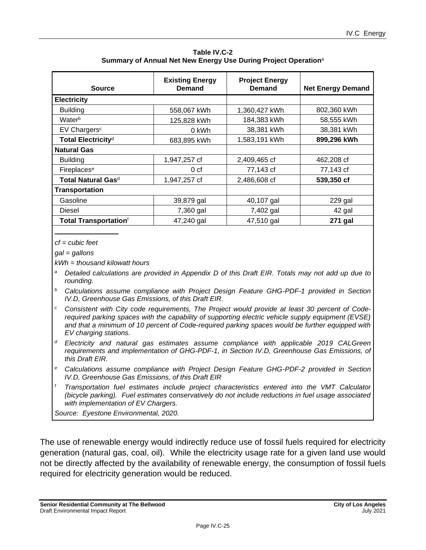| <b>Source</b>                            | <b>Existing Energy</b><br><b>Demand</b> | <b>Project Energy</b><br>Demand | <b>Net Energy Demand</b> |
|------------------------------------------|-----------------------------------------|---------------------------------|--------------------------|
| <b>Electricity</b>                       |                                         |                                 |                          |
| <b>Building</b>                          | 558,067 kWh                             | 1,360,427 kWh                   | 802,360 kWh              |
| Waterb                                   | 125,828 kWh                             | 184,383 kWh                     | 58,555 kWh               |
| EV Chargers <sup>c</sup>                 | 0 kWh                                   | 38,381 kWh                      | 38,381 kWh               |
| Total Electricity <sup>d</sup>           | 683,895 kWh                             | 1,583,191 kWh                   | 899,296 kWh              |
| <b>Natural Gas</b>                       |                                         |                                 |                          |
| <b>Building</b>                          | 1,947,257 cf                            | 2,409,465 cf                    | 462,208 cf               |
| Fireplaces <sup>e</sup>                  | 0 <sub>cf</sub>                         | 77,143 cf                       | 77,143 cf                |
| Total Natural Gasd                       | 1,947,257 cf                            | 2,486,608 cf                    | 539,350 cf               |
| <b>Transportation</b>                    |                                         |                                 |                          |
| Gasoline                                 | 39,879 gal                              | 40,107 gal                      | 229 gal                  |
| <b>Diesel</b>                            | 7,360 gal                               | 7,402 gal                       | 42 gal                   |
| <b>Total Transportation</b> <sup>f</sup> | 47,240 gal                              | 47,510 gal                      | 271 gal                  |

**Table IV.C-2 Summary of Annual Net New Energy Use During Project Operation**<sup>a</sup>

*cf = cubic feet*

*gal = gallons*

*kWh = thousand kilowatt hours*

- *<sup>a</sup> Detailed calculations are provided in Appendix D of this Draft EIR. Totals may not add up due to rounding.*
- *<sup>b</sup> Calculations assume compliance with Project Design Feature GHG-PDF-1 provided in Section IV.D, Greenhouse Gas Emissions, of this Draft EIR.*
- *<sup>c</sup> Consistent with City code requirements, The Project would provide at least 30 percent of Coderequired parking spaces with the capability of supporting electric vehicle supply equipment (EVSE) and that a minimum of 10 percent of Code-required parking spaces would be further equipped with EV charging stations.*
- *<sup>d</sup> Electricity and natural gas estimates assume compliance with applicable 2019 CALGreen requirements and implementation of GHG-PDF-1, in Section IV.D, Greenhouse Gas Emissions, of this Draft EIR.*
- *<sup>e</sup> Calculations assume compliance with Project Design Feature GHG-PDF-2 provided in Section IV.D, Greenhouse Gas Emissions, of this Draft EIR*
- *<sup>f</sup> Transportation fuel estimates include project characteristics entered into the VMT Calculator (bicycle parking). Fuel estimates conservatively do not include reductions in fuel usage associated with implementation of EV Chargers.*

*Source: Eyestone Environmental, 2020.* 

The use of renewable energy would indirectly reduce use of fossil fuels required for electricity generation (natural gas, coal, oil). While the electricity usage rate for a given land use would not be directly affected by the availability of renewable energy, the consumption of fossil fuels required for electricity generation would be reduced.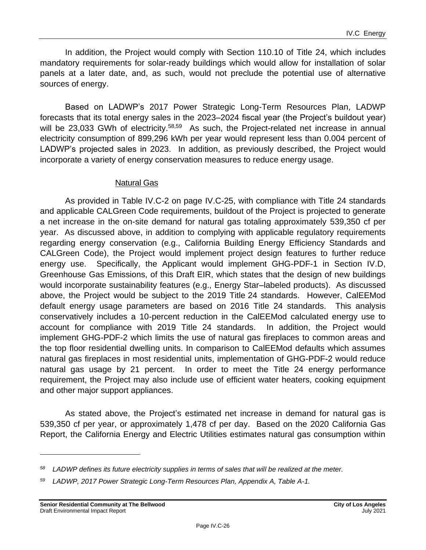In addition, the Project would comply with Section 110.10 of Title 24, which includes mandatory requirements for solar-ready buildings which would allow for installation of solar panels at a later date, and, as such, would not preclude the potential use of alternative sources of energy.

Based on LADWP's 2017 Power Strategic Long-Term Resources Plan, LADWP forecasts that its total energy sales in the 2023–2024 fiscal year (the Project's buildout year) will be 23,033 GWh of electricity.<sup>58,59</sup> As such, the Project-related net increase in annual electricity consumption of 899,296 kWh per year would represent less than 0.004 percent of LADWP's projected sales in 2023. In addition, as previously described, the Project would incorporate a variety of energy conservation measures to reduce energy usage.

#### Natural Gas

As provided in Table IV.C-2 on page IV.C-25, with compliance with Title 24 standards and applicable CALGreen Code requirements, buildout of the Project is projected to generate a net increase in the on-site demand for natural gas totaling approximately 539,350 cf per year. As discussed above, in addition to complying with applicable regulatory requirements regarding energy conservation (e.g., California Building Energy Efficiency Standards and CALGreen Code), the Project would implement project design features to further reduce energy use. Specifically, the Applicant would implement GHG-PDF-1 in Section IV.D, Greenhouse Gas Emissions, of this Draft EIR, which states that the design of new buildings would incorporate sustainability features (e.g., Energy Star–labeled products). As discussed above, the Project would be subject to the 2019 Title 24 standards. However, CalEEMod default energy usage parameters are based on 2016 Title 24 standards. This analysis conservatively includes a 10-percent reduction in the CalEEMod calculated energy use to account for compliance with 2019 Title 24 standards. In addition, the Project would implement GHG-PDF-2 which limits the use of natural gas fireplaces to common areas and the top floor residential dwelling units. In comparison to CalEEMod defaults which assumes natural gas fireplaces in most residential units, implementation of GHG-PDF-2 would reduce natural gas usage by 21 percent. In order to meet the Title 24 energy performance requirement, the Project may also include use of efficient water heaters, cooking equipment and other major support appliances.

As stated above, the Project's estimated net increase in demand for natural gas is 539,350 cf per year, or approximately 1,478 cf per day. Based on the 2020 California Gas Report, the California Energy and Electric Utilities estimates natural gas consumption within

*<sup>58</sup> LADWP defines its future electricity supplies in terms of sales that will be realized at the meter.*

*<sup>59</sup> LADWP, 2017 Power Strategic Long-Term Resources Plan, Appendix A, Table A-1.*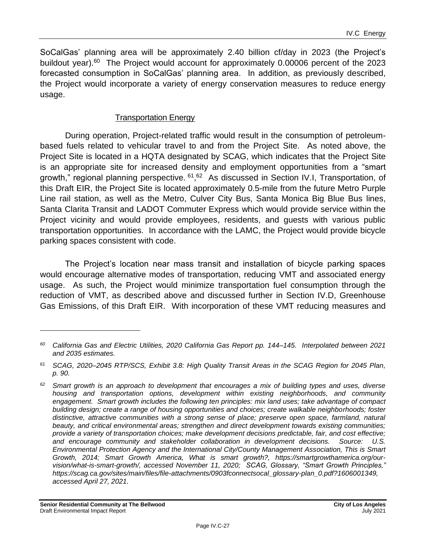SoCalGas' planning area will be approximately 2.40 billion cf/day in 2023 (the Project's buildout year).<sup>60</sup> The Project would account for approximately 0.00006 percent of the 2023 forecasted consumption in SoCalGas' planning area. In addition, as previously described, the Project would incorporate a variety of energy conservation measures to reduce energy usage.

#### Transportation Energy

During operation, Project-related traffic would result in the consumption of petroleumbased fuels related to vehicular travel to and from the Project Site. As noted above, the Project Site is located in a HQTA designated by SCAG, which indicates that the Project Site is an appropriate site for increased density and employment opportunities from a "smart growth," regional planning perspective. <sup>61</sup>, <sup>62</sup> As discussed in Section IV.I, Transportation, of this Draft EIR, the Project Site is located approximately 0.5-mile from the future Metro Purple Line rail station, as well as the Metro, Culver City Bus, Santa Monica Big Blue Bus lines, Santa Clarita Transit and LADOT Commuter Express which would provide service within the Project vicinity and would provide employees, residents, and guests with various public transportation opportunities. In accordance with the LAMC, the Project would provide bicycle parking spaces consistent with code.

The Project's location near mass transit and installation of bicycle parking spaces would encourage alternative modes of transportation, reducing VMT and associated energy usage. As such, the Project would minimize transportation fuel consumption through the reduction of VMT, as described above and discussed further in Section IV.D, Greenhouse Gas Emissions, of this Draft EIR. With incorporation of these VMT reducing measures and

*<sup>60</sup> California Gas and Electric Utilities, 2020 California Gas Report pp. 144–145. Interpolated between 2021 and 2035 estimates.*

*<sup>61</sup> SCAG, 2020–2045 RTP/SCS, Exhibit 3.8: High Quality Transit Areas in the SCAG Region for 2045 Plan, p. 90.*

*<sup>62</sup> Smart growth is an approach to development that encourages a mix of building types and uses, diverse housing and transportation options, development within existing neighborhoods, and community engagement. Smart growth includes the following ten principles: mix land uses; take advantage of compact building design; create a range of housing opportunities and choices; create walkable neighborhoods; foster distinctive, attractive communities with a strong sense of place; preserve open space, farmland, natural beauty, and critical environmental areas; strengthen and direct development towards existing communities; provide a variety of transportation choices; make development decisions predictable, fair, and cost effective; and encourage community and stakeholder collaboration in development decisions. Source: U.S. Environmental Protection Agency and the International City/County Management Association, This is Smart Growth, 2014; Smart Growth America, What is smart growth?, [https://smartgrowthamerica.org/our](https://smartgrowthamerica.org/our-vision/what-is-smart-growth/)[vision/what-is-smart-growth/,](https://smartgrowthamerica.org/our-vision/what-is-smart-growth/) accessed November 11, 2020; SCAG, Glossary, "Smart Growth Principles," https://scag.ca.gov/sites/main/files/file-attachments/0903fconnectsocal\_glossary-plan\_0.pdf?1606001349, accessed April 27, 2021.*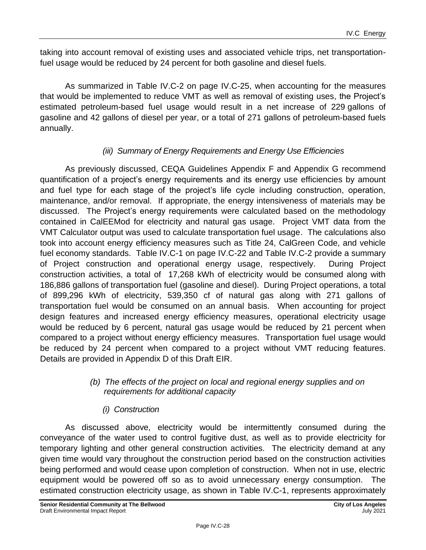taking into account removal of existing uses and associated vehicle trips, net transportationfuel usage would be reduced by 24 percent for both gasoline and diesel fuels.

As summarized in Table IV.C-2 on page IV.C-25, when accounting for the measures that would be implemented to reduce VMT as well as removal of existing uses, the Project's estimated petroleum-based fuel usage would result in a net increase of 229 gallons of gasoline and 42 gallons of diesel per year, or a total of 271 gallons of petroleum-based fuels annually.

### *(iii) Summary of Energy Requirements and Energy Use Efficiencies*

As previously discussed, CEQA Guidelines Appendix F and Appendix G recommend quantification of a project's energy requirements and its energy use efficiencies by amount and fuel type for each stage of the project's life cycle including construction, operation, maintenance, and/or removal. If appropriate, the energy intensiveness of materials may be discussed. The Project's energy requirements were calculated based on the methodology contained in CalEEMod for electricity and natural gas usage. Project VMT data from the VMT Calculator output was used to calculate transportation fuel usage. The calculations also took into account energy efficiency measures such as Title 24, CalGreen Code, and vehicle fuel economy standards. Table IV.C-1 on page [IV.C-22](#page-21-0) and Table IV.C-2 provide a summary of Project construction and operational energy usage, respectively. During Project construction activities, a total of 17,268 kWh of electricity would be consumed along with 186,886 gallons of transportation fuel (gasoline and diesel). During Project operations, a total of 899,296 kWh of electricity, 539,350 cf of natural gas along with 271 gallons of transportation fuel would be consumed on an annual basis. When accounting for project design features and increased energy efficiency measures, operational electricity usage would be reduced by 6 percent, natural gas usage would be reduced by 21 percent when compared to a project without energy efficiency measures. Transportation fuel usage would be reduced by 24 percent when compared to a project without VMT reducing features. Details are provided in Appendix D of this Draft EIR.

#### *(b) The effects of the project on local and regional energy supplies and on requirements for additional capacity*

## *(i) Construction*

As discussed above, electricity would be intermittently consumed during the conveyance of the water used to control fugitive dust, as well as to provide electricity for temporary lighting and other general construction activities. The electricity demand at any given time would vary throughout the construction period based on the construction activities being performed and would cease upon completion of construction. When not in use, electric equipment would be powered off so as to avoid unnecessary energy consumption. The estimated construction electricity usage, as shown in Table IV.C-1, represents approximately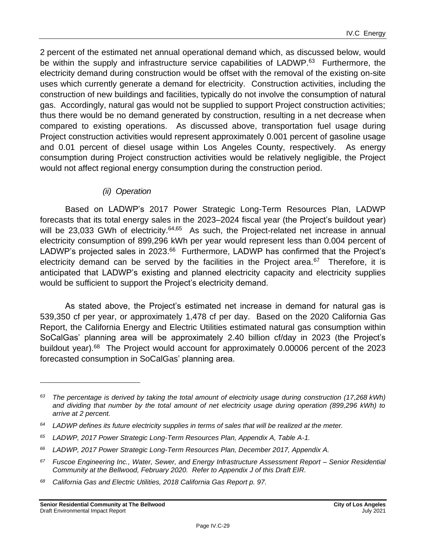2 percent of the estimated net annual operational demand which, as discussed below, would be within the supply and infrastructure service capabilities of LADWP.<sup>63</sup> Furthermore, the electricity demand during construction would be offset with the removal of the existing on-site uses which currently generate a demand for electricity. Construction activities, including the construction of new buildings and facilities, typically do not involve the consumption of natural gas. Accordingly, natural gas would not be supplied to support Project construction activities; thus there would be no demand generated by construction, resulting in a net decrease when compared to existing operations. As discussed above, transportation fuel usage during Project construction activities would represent approximately 0.001 percent of gasoline usage and 0.01 percent of diesel usage within Los Angeles County, respectively. As energy consumption during Project construction activities would be relatively negligible, the Project would not affect regional energy consumption during the construction period.

#### *(ii) Operation*

Based on LADWP's 2017 Power Strategic Long-Term Resources Plan, LADWP forecasts that its total energy sales in the 2023–2024 fiscal year (the Project's buildout year) will be 23,033 GWh of electricity.<sup>64,65</sup> As such, the Project-related net increase in annual electricity consumption of 899,296 kWh per year would represent less than 0.004 percent of LADWP's projected sales in 2023.<sup>66</sup> Furthermore, LADWP has confirmed that the Project's electricity demand can be served by the facilities in the Project area. $67$  Therefore, it is anticipated that LADWP's existing and planned electricity capacity and electricity supplies would be sufficient to support the Project's electricity demand.

As stated above, the Project's estimated net increase in demand for natural gas is 539,350 cf per year, or approximately 1,478 cf per day. Based on the 2020 California Gas Report, the California Energy and Electric Utilities estimated natural gas consumption within SoCalGas' planning area will be approximately 2.40 billion cf/day in 2023 (the Project's buildout year).<sup>68</sup> The Project would account for approximately 0.00006 percent of the 2023 forecasted consumption in SoCalGas' planning area.

*<sup>63</sup> The percentage is derived by taking the total amount of electricity usage during construction (17,268 kWh) and dividing that number by the total amount of net electricity usage during operation (899,296 kWh) to arrive at 2 percent.*

*<sup>64</sup> LADWP defines its future electricity supplies in terms of sales that will be realized at the meter.*

*<sup>65</sup> LADWP, 2017 Power Strategic Long-Term Resources Plan, Appendix A, Table A-1.*

*<sup>66</sup> LADWP, 2017 Power Strategic Long-Term Resources Plan, December 2017, Appendix A.*

*<sup>67</sup> Fuscoe Engineering Inc., Water, Sewer, and Energy Infrastructure Assessment Report – Senior Residential Community at the Bellwood, February 2020. Refer to Appendix J of this Draft EIR.*

*<sup>68</sup> California Gas and Electric Utilities, 2018 California Gas Report p. 97.*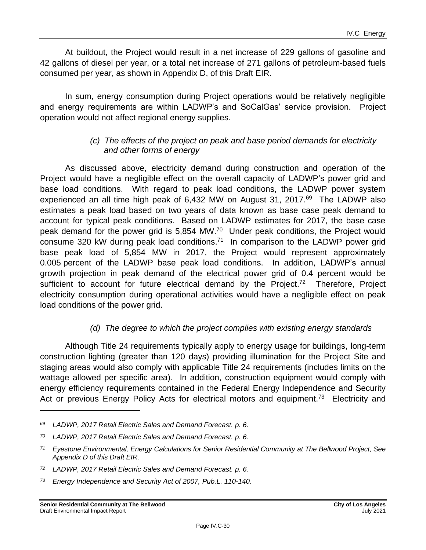At buildout, the Project would result in a net increase of 229 gallons of gasoline and 42 gallons of diesel per year, or a total net increase of 271 gallons of petroleum-based fuels consumed per year, as shown in Appendix D, of this Draft EIR.

In sum, energy consumption during Project operations would be relatively negligible and energy requirements are within LADWP's and SoCalGas' service provision. Project operation would not affect regional energy supplies.

#### *(c) The effects of the project on peak and base period demands for electricity and other forms of energy*

As discussed above, electricity demand during construction and operation of the Project would have a negligible effect on the overall capacity of LADWP's power grid and base load conditions. With regard to peak load conditions, the LADWP power system experienced an all time high peak of 6,432 MW on August 31, 2017.<sup>69</sup> The LADWP also estimates a peak load based on two years of data known as base case peak demand to account for typical peak conditions. Based on LADWP estimates for 2017, the base case peak demand for the power grid is 5,854 MW.<sup>70</sup> Under peak conditions, the Project would consume 320 kW during peak load conditions.<sup>71</sup> In comparison to the LADWP power grid base peak load of 5,854 MW in 2017, the Project would represent approximately 0.005 percent of the LADWP base peak load conditions. In addition, LADWP's annual growth projection in peak demand of the electrical power grid of 0.4 percent would be sufficient to account for future electrical demand by the Project.<sup>72</sup> Therefore, Project electricity consumption during operational activities would have a negligible effect on peak load conditions of the power grid.

## *(d) The degree to which the project complies with existing energy standards*

Although Title 24 requirements typically apply to energy usage for buildings, long-term construction lighting (greater than 120 days) providing illumination for the Project Site and staging areas would also comply with applicable Title 24 requirements (includes limits on the wattage allowed per specific area). In addition, construction equipment would comply with energy efficiency requirements contained in the Federal Energy Independence and Security Act or previous Energy Policy Acts for electrical motors and equipment.<sup>73</sup> Electricity and

*<sup>69</sup> LADWP, 2017 Retail Electric Sales and Demand Forecast. p. 6.*

*<sup>70</sup> LADWP, 2017 Retail Electric Sales and Demand Forecast. p. 6.*

*<sup>71</sup> Eyestone Environmental, Energy Calculations for Senior Residential Community at The Bellwood Project, See Appendix D of this Draft EIR.*

*<sup>72</sup> LADWP, 2017 Retail Electric Sales and Demand Forecast. p. 6.*

*<sup>73</sup> Energy Independence and Security Act of 2007, Pub.L. 110-140.*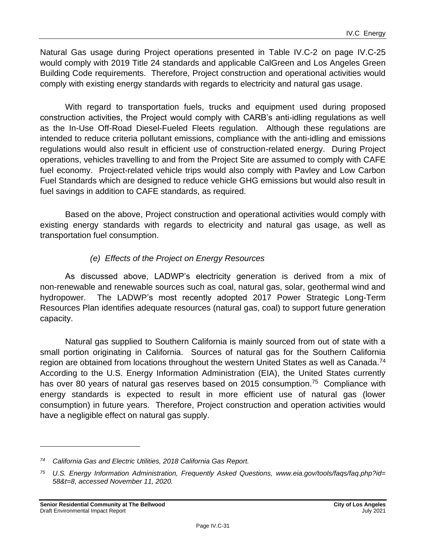Natural Gas usage during Project operations presented in Table IV.C-2 on page IV.C-25 would comply with 2019 Title 24 standards and applicable CalGreen and Los Angeles Green Building Code requirements. Therefore, Project construction and operational activities would comply with existing energy standards with regards to electricity and natural gas usage.

With regard to transportation fuels, trucks and equipment used during proposed construction activities, the Project would comply with CARB's anti-idling regulations as well as the In-Use Off-Road Diesel-Fueled Fleets regulation. Although these regulations are intended to reduce criteria pollutant emissions, compliance with the anti-idling and emissions regulations would also result in efficient use of construction-related energy. During Project operations, vehicles travelling to and from the Project Site are assumed to comply with CAFE fuel economy. Project-related vehicle trips would also comply with Pavley and Low Carbon Fuel Standards which are designed to reduce vehicle GHG emissions but would also result in fuel savings in addition to CAFE standards, as required.

Based on the above, Project construction and operational activities would comply with existing energy standards with regards to electricity and natural gas usage, as well as transportation fuel consumption.

### *(e) Effects of the Project on Energy Resources*

As discussed above, LADWP's electricity generation is derived from a mix of non-renewable and renewable sources such as coal, natural gas, solar, geothermal wind and hydropower. The LADWP's most recently adopted 2017 Power Strategic Long-Term Resources Plan identifies adequate resources (natural gas, coal) to support future generation capacity.

Natural gas supplied to Southern California is mainly sourced from out of state with a small portion originating in California. Sources of natural gas for the Southern California region are obtained from locations throughout the western United States as well as Canada.<sup>74</sup> According to the U.S. Energy Information Administration (EIA), the United States currently has over 80 years of natural gas reserves based on 2015 consumption.<sup>75</sup> Compliance with energy standards is expected to result in more efficient use of natural gas (lower consumption) in future years. Therefore, Project construction and operation activities would have a negligible effect on natural gas supply.

*<sup>74</sup> California Gas and Electric Utilities, 2018 California Gas Report.*

*<sup>75</sup> U.S. Energy Information Administration, Frequently Asked Questions, www.eia.gov/tools/faqs/faq.php?id= 58&t=8, accessed November 11, 2020.*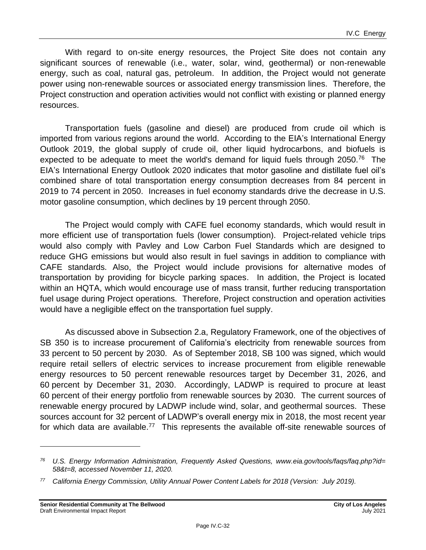With regard to on-site energy resources, the Project Site does not contain any significant sources of renewable (i.e., water, solar, wind, geothermal) or non-renewable energy, such as coal, natural gas, petroleum. In addition, the Project would not generate power using non-renewable sources or associated energy transmission lines. Therefore, the Project construction and operation activities would not conflict with existing or planned energy resources.

Transportation fuels (gasoline and diesel) are produced from crude oil which is imported from various regions around the world. According to the EIA's International Energy Outlook 2019, the global supply of crude oil, other liquid hydrocarbons, and biofuels is expected to be adequate to meet the world's demand for liquid fuels through 2050.<sup>76</sup> The EIA's International Energy Outlook 2020 indicates that motor gasoline and distillate fuel oil's combined share of total transportation energy consumption decreases from 84 percent in 2019 to 74 percent in 2050. Increases in fuel economy standards drive the decrease in U.S. motor gasoline consumption, which declines by 19 percent through 2050.

The Project would comply with CAFE fuel economy standards, which would result in more efficient use of transportation fuels (lower consumption). Project-related vehicle trips would also comply with Pavley and Low Carbon Fuel Standards which are designed to reduce GHG emissions but would also result in fuel savings in addition to compliance with CAFE standards. Also, the Project would include provisions for alternative modes of transportation by providing for bicycle parking spaces. In addition, the Project is located within an HQTA, which would encourage use of mass transit, further reducing transportation fuel usage during Project operations. Therefore, Project construction and operation activities would have a negligible effect on the transportation fuel supply.

As discussed above in Subsection 2.a, Regulatory Framework, one of the objectives of SB 350 is to increase procurement of California's electricity from renewable sources from 33 percent to 50 percent by 2030. As of September 2018, SB 100 was signed, which would require retail sellers of electric services to increase procurement from eligible renewable energy resources to 50 percent renewable resources target by December 31, 2026, and 60 percent by December 31, 2030. Accordingly, LADWP is required to procure at least 60 percent of their energy portfolio from renewable sources by 2030. The current sources of renewable energy procured by LADWP include wind, solar, and geothermal sources. These sources account for 32 percent of LADWP's overall energy mix in 2018, the most recent year for which data are available.<sup>77</sup> This represents the available off-site renewable sources of

*<sup>76</sup> U.S. Energy Information Administration, Frequently Asked Questions, www.eia.gov/tools/faqs/faq.php?id= 58&t=8, accessed November 11, 2020.*

*<sup>77</sup> California Energy Commission, Utility Annual Power Content Labels for 2018 (Version: July 2019).*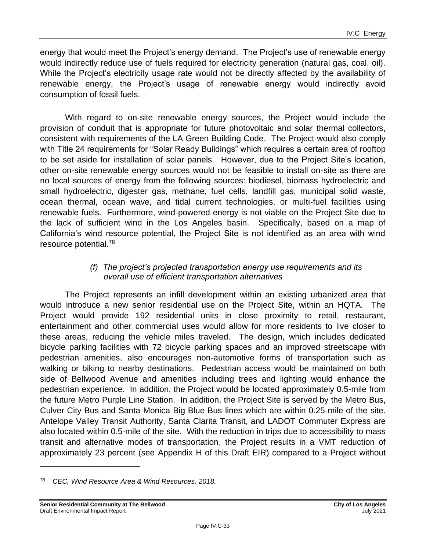energy that would meet the Project's energy demand. The Project's use of renewable energy would indirectly reduce use of fuels required for electricity generation (natural gas, coal, oil). While the Project's electricity usage rate would not be directly affected by the availability of renewable energy, the Project's usage of renewable energy would indirectly avoid consumption of fossil fuels.

With regard to on-site renewable energy sources, the Project would include the provision of conduit that is appropriate for future photovoltaic and solar thermal collectors, consistent with requirements of the LA Green Building Code. The Project would also comply with Title 24 requirements for "Solar Ready Buildings" which requires a certain area of rooftop to be set aside for installation of solar panels. However, due to the Project Site's location, other on-site renewable energy sources would not be feasible to install on-site as there are no local sources of energy from the following sources: biodiesel, biomass hydroelectric and small hydroelectric, digester gas, methane, fuel cells, landfill gas, municipal solid waste, ocean thermal, ocean wave, and tidal current technologies, or multi-fuel facilities using renewable fuels. Furthermore, wind-powered energy is not viable on the Project Site due to the lack of sufficient wind in the Los Angeles basin. Specifically, based on a map of California's wind resource potential, the Project Site is not identified as an area with wind resource potential.<sup>78</sup>

#### *(f) The project's projected transportation energy use requirements and its overall use of efficient transportation alternatives*

The Project represents an infill development within an existing urbanized area that would introduce a new senior residential use on the Project Site, within an HQTA. The Project would provide 192 residential units in close proximity to retail, restaurant, entertainment and other commercial uses would allow for more residents to live closer to these areas, reducing the vehicle miles traveled. The design, which includes dedicated bicycle parking facilities with 72 bicycle parking spaces and an improved streetscape with pedestrian amenities, also encourages non-automotive forms of transportation such as walking or biking to nearby destinations. Pedestrian access would be maintained on both side of Bellwood Avenue and amenities including trees and lighting would enhance the pedestrian experience. In addition, the Project would be located approximately 0.5-mile from the future Metro Purple Line Station. In addition, the Project Site is served by the Metro Bus, Culver City Bus and Santa Monica Big Blue Bus lines which are within 0.25-mile of the site. Antelope Valley Transit Authority, Santa Clarita Transit, and LADOT Commuter Express are also located within 0.5-mile of the site. With the reduction in trips due to accessibility to mass transit and alternative modes of transportation, the Project results in a VMT reduction of approximately 23 percent (see Appendix H of this Draft EIR) compared to a Project without

*<sup>78</sup> CEC, Wind Resource Area & Wind Resources, 2018.*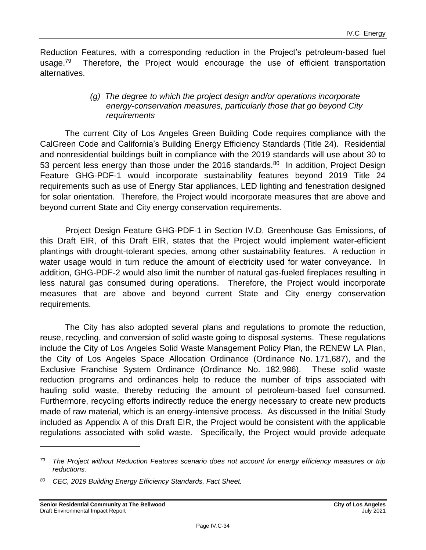Reduction Features, with a corresponding reduction in the Project's petroleum-based fuel usage. $79$  Therefore, the Project would encourage the use of efficient transportation alternatives.

#### *(g) The degree to which the project design and/or operations incorporate energy-conservation measures, particularly those that go beyond City requirements*

The current City of Los Angeles Green Building Code requires compliance with the CalGreen Code and California's Building Energy Efficiency Standards (Title 24). Residential and nonresidential buildings built in compliance with the 2019 standards will use about 30 to 53 percent less energy than those under the 2016 standards.<sup>80</sup> In addition, Project Design Feature GHG-PDF-1 would incorporate sustainability features beyond 2019 Title 24 requirements such as use of Energy Star appliances, LED lighting and fenestration designed for solar orientation. Therefore, the Project would incorporate measures that are above and beyond current State and City energy conservation requirements.

Project Design Feature GHG-PDF-1 in Section IV.D, Greenhouse Gas Emissions, of this Draft EIR, of this Draft EIR, states that the Project would implement water-efficient plantings with drought-tolerant species, among other sustainability features. A reduction in water usage would in turn reduce the amount of electricity used for water conveyance. In addition, GHG-PDF-2 would also limit the number of natural gas-fueled fireplaces resulting in less natural gas consumed during operations. Therefore, the Project would incorporate measures that are above and beyond current State and City energy conservation requirements.

The City has also adopted several plans and regulations to promote the reduction, reuse, recycling, and conversion of solid waste going to disposal systems. These regulations include the City of Los Angeles Solid Waste Management Policy Plan, the RENEW LA Plan, the City of Los Angeles Space Allocation Ordinance (Ordinance No. 171,687), and the Exclusive Franchise System Ordinance (Ordinance No. 182,986). These solid waste reduction programs and ordinances help to reduce the number of trips associated with hauling solid waste, thereby reducing the amount of petroleum-based fuel consumed. Furthermore, recycling efforts indirectly reduce the energy necessary to create new products made of raw material, which is an energy-intensive process. As discussed in the Initial Study included as Appendix A of this Draft EIR, the Project would be consistent with the applicable regulations associated with solid waste. Specifically, the Project would provide adequate

*<sup>79</sup> The Project without Reduction Features scenario does not account for energy efficiency measures or trip reductions.*

*<sup>80</sup> CEC, 2019 Building Energy Efficiency Standards, Fact Sheet.*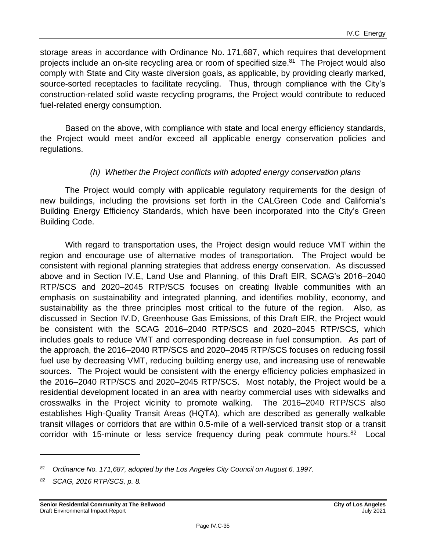storage areas in accordance with Ordinance No. 171,687, which requires that development projects include an on-site recycling area or room of specified size.<sup>81</sup> The Project would also comply with State and City waste diversion goals, as applicable, by providing clearly marked, source-sorted receptacles to facilitate recycling. Thus, through compliance with the City's construction-related solid waste recycling programs, the Project would contribute to reduced fuel-related energy consumption.

Based on the above, with compliance with state and local energy efficiency standards, the Project would meet and/or exceed all applicable energy conservation policies and regulations.

#### *(h) Whether the Project conflicts with adopted energy conservation plans*

The Project would comply with applicable regulatory requirements for the design of new buildings, including the provisions set forth in the CALGreen Code and California's Building Energy Efficiency Standards, which have been incorporated into the City's Green Building Code.

With regard to transportation uses, the Project design would reduce VMT within the region and encourage use of alternative modes of transportation. The Project would be consistent with regional planning strategies that address energy conservation. As discussed above and in Section IV.E, Land Use and Planning, of this Draft EIR, SCAG's 2016–2040 RTP/SCS and 2020–2045 RTP/SCS focuses on creating livable communities with an emphasis on sustainability and integrated planning, and identifies mobility, economy, and sustainability as the three principles most critical to the future of the region. Also, as discussed in Section IV.D, Greenhouse Gas Emissions, of this Draft EIR, the Project would be consistent with the SCAG 2016–2040 RTP/SCS and 2020–2045 RTP/SCS, which includes goals to reduce VMT and corresponding decrease in fuel consumption. As part of the approach, the 2016–2040 RTP/SCS and 2020–2045 RTP/SCS focuses on reducing fossil fuel use by decreasing VMT, reducing building energy use, and increasing use of renewable sources. The Project would be consistent with the energy efficiency policies emphasized in the 2016–2040 RTP/SCS and 2020–2045 RTP/SCS. Most notably, the Project would be a residential development located in an area with nearby commercial uses with sidewalks and crosswalks in the Project vicinity to promote walking. The 2016–2040 RTP/SCS also establishes High-Quality Transit Areas (HQTA), which are described as generally walkable transit villages or corridors that are within 0.5-mile of a well-serviced transit stop or a transit corridor with 15-minute or less service frequency during peak commute hours.<sup>82</sup> Local

*<sup>81</sup> Ordinance No. 171,687, adopted by the Los Angeles City Council on August 6, 1997.*

*<sup>82</sup> SCAG, 2016 RTP/SCS, p. 8.*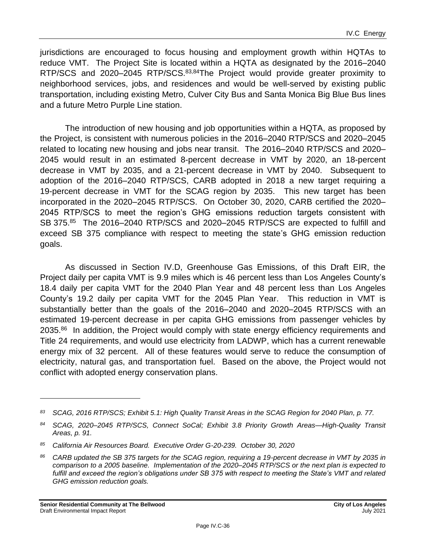jurisdictions are encouraged to focus housing and employment growth within HQTAs to reduce VMT. The Project Site is located within a HQTA as designated by the 2016–2040 RTP/SCS and 2020–2045 RTP/SCS.<sup>83,84</sup>The Project would provide greater proximity to neighborhood services, jobs, and residences and would be well-served by existing public transportation, including existing Metro, Culver City Bus and Santa Monica Big Blue Bus lines and a future Metro Purple Line station.

The introduction of new housing and job opportunities within a HQTA, as proposed by the Project, is consistent with numerous policies in the 2016–2040 RTP/SCS and 2020–2045 related to locating new housing and jobs near transit. The 2016–2040 RTP/SCS and 2020– 2045 would result in an estimated 8-percent decrease in VMT by 2020, an 18-percent decrease in VMT by 2035, and a 21-percent decrease in VMT by 2040. Subsequent to adoption of the 2016–2040 RTP/SCS, CARB adopted in 2018 a new target requiring a 19-percent decrease in VMT for the SCAG region by 2035. This new target has been incorporated in the 2020–2045 RTP/SCS. On October 30, 2020, CARB certified the 2020– 2045 RTP/SCS to meet the region's GHG emissions reduction targets consistent with SB 375.<sup>85</sup> The 2016–2040 RTP/SCS and 2020–2045 RTP/SCS are expected to fulfill and exceed SB 375 compliance with respect to meeting the state's GHG emission reduction goals.

As discussed in Section IV.D, Greenhouse Gas Emissions, of this Draft EIR, the Project daily per capita VMT is 9.9 miles which is 46 percent less than Los Angeles County's 18.4 daily per capita VMT for the 2040 Plan Year and 48 percent less than Los Angeles County's 19.2 daily per capita VMT for the 2045 Plan Year. This reduction in VMT is substantially better than the goals of the 2016–2040 and 2020–2045 RTP/SCS with an estimated 19-percent decrease in per capita GHG emissions from passenger vehicles by 2035.<sup>86</sup> In addition, the Project would comply with state energy efficiency requirements and Title 24 requirements, and would use electricity from LADWP, which has a current renewable energy mix of 32 percent. All of these features would serve to reduce the consumption of electricity, natural gas, and transportation fuel. Based on the above, the Project would not conflict with adopted energy conservation plans.

*<sup>83</sup> SCAG, 2016 RTP/SCS; Exhibit 5.1: High Quality Transit Areas in the SCAG Region for 2040 Plan, p. 77.*

*<sup>84</sup> SCAG, 2020–2045 RTP/SCS, Connect SoCal; Exhibit 3.8 Priority Growth Areas—High-Quality Transit Areas, p. 91.*

*<sup>85</sup> California Air Resources Board. Executive Order G-20-239. October 30, 2020*

*<sup>86</sup> CARB updated the SB 375 targets for the SCAG region, requiring a 19-percent decrease in VMT by 2035 in comparison to a 2005 baseline. Implementation of the 2020–2045 RTP/SCS or the next plan is expected to fulfill and exceed the region's obligations under SB 375 with respect to meeting the State's VMT and related GHG emission reduction goals.*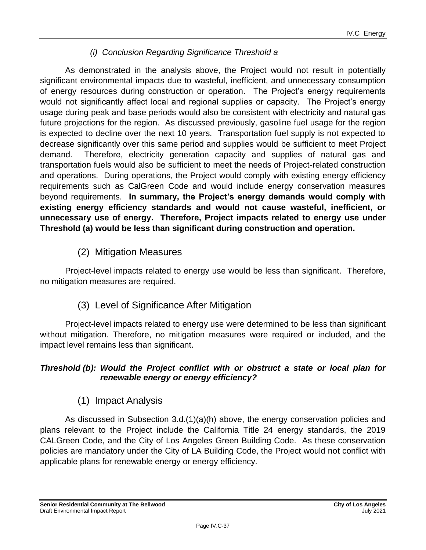### *(i) Conclusion Regarding Significance Threshold a*

As demonstrated in the analysis above, the Project would not result in potentially significant environmental impacts due to wasteful, inefficient, and unnecessary consumption of energy resources during construction or operation. The Project's energy requirements would not significantly affect local and regional supplies or capacity. The Project's energy usage during peak and base periods would also be consistent with electricity and natural gas future projections for the region. As discussed previously, gasoline fuel usage for the region is expected to decline over the next 10 years. Transportation fuel supply is not expected to decrease significantly over this same period and supplies would be sufficient to meet Project demand. Therefore, electricity generation capacity and supplies of natural gas and transportation fuels would also be sufficient to meet the needs of Project-related construction and operations. During operations, the Project would comply with existing energy efficiency requirements such as CalGreen Code and would include energy conservation measures beyond requirements. **In summary, the Project's energy demands would comply with existing energy efficiency standards and would not cause wasteful, inefficient, or unnecessary use of energy. Therefore, Project impacts related to energy use under Threshold (a) would be less than significant during construction and operation.**

(2) Mitigation Measures

Project-level impacts related to energy use would be less than significant. Therefore, no mitigation measures are required.

(3) Level of Significance After Mitigation

Project-level impacts related to energy use were determined to be less than significant without mitigation. Therefore, no mitigation measures were required or included, and the impact level remains less than significant.

#### *Threshold (b): Would the Project conflict with or obstruct a state or local plan for renewable energy or energy efficiency?*

## (1) Impact Analysis

As discussed in Subsection 3.d.(1)(a)(h) above, the energy conservation policies and plans relevant to the Project include the California Title 24 energy standards, the 2019 CALGreen Code, and the City of Los Angeles Green Building Code. As these conservation policies are mandatory under the City of LA Building Code, the Project would not conflict with applicable plans for renewable energy or energy efficiency.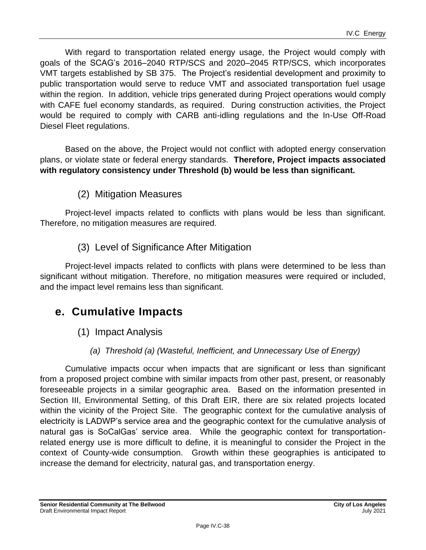With regard to transportation related energy usage, the Project would comply with goals of the SCAG's 2016–2040 RTP/SCS and 2020–2045 RTP/SCS, which incorporates VMT targets established by SB 375. The Project's residential development and proximity to public transportation would serve to reduce VMT and associated transportation fuel usage within the region. In addition, vehicle trips generated during Project operations would comply with CAFE fuel economy standards, as required. During construction activities, the Project would be required to comply with CARB anti-idling regulations and the In-Use Off-Road Diesel Fleet regulations.

Based on the above, the Project would not conflict with adopted energy conservation plans, or violate state or federal energy standards. **Therefore, Project impacts associated with regulatory consistency under Threshold (b) would be less than significant.**

(2) Mitigation Measures

Project-level impacts related to conflicts with plans would be less than significant. Therefore, no mitigation measures are required.

(3) Level of Significance After Mitigation

Project-level impacts related to conflicts with plans were determined to be less than significant without mitigation. Therefore, no mitigation measures were required or included, and the impact level remains less than significant.

## **e. Cumulative Impacts**

- (1) Impact Analysis
	- *(a) Threshold (a) (Wasteful, Inefficient, and Unnecessary Use of Energy)*

Cumulative impacts occur when impacts that are significant or less than significant from a proposed project combine with similar impacts from other past, present, or reasonably foreseeable projects in a similar geographic area. Based on the information presented in Section III, Environmental Setting, of this Draft EIR, there are six related projects located within the vicinity of the Project Site. The geographic context for the cumulative analysis of electricity is LADWP's service area and the geographic context for the cumulative analysis of natural gas is SoCalGas' service area. While the geographic context for transportationrelated energy use is more difficult to define, it is meaningful to consider the Project in the context of County-wide consumption. Growth within these geographies is anticipated to increase the demand for electricity, natural gas, and transportation energy.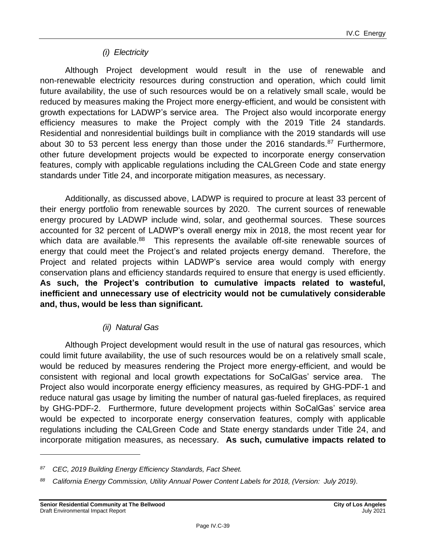### *(i) Electricity*

Although Project development would result in the use of renewable and non-renewable electricity resources during construction and operation, which could limit future availability, the use of such resources would be on a relatively small scale, would be reduced by measures making the Project more energy-efficient, and would be consistent with growth expectations for LADWP's service area. The Project also would incorporate energy efficiency measures to make the Project comply with the 2019 Title 24 standards. Residential and nonresidential buildings built in compliance with the 2019 standards will use about 30 to 53 percent less energy than those under the 2016 standards.<sup>87</sup> Furthermore, other future development projects would be expected to incorporate energy conservation features, comply with applicable regulations including the CALGreen Code and state energy standards under Title 24, and incorporate mitigation measures, as necessary.

Additionally, as discussed above, LADWP is required to procure at least 33 percent of their energy portfolio from renewable sources by 2020. The current sources of renewable energy procured by LADWP include wind, solar, and geothermal sources. These sources accounted for 32 percent of LADWP's overall energy mix in 2018, the most recent year for which data are available.<sup>88</sup> This represents the available off-site renewable sources of energy that could meet the Project's and related projects energy demand. Therefore, the Project and related projects within LADWP's service area would comply with energy conservation plans and efficiency standards required to ensure that energy is used efficiently. **As such, the Project's contribution to cumulative impacts related to wasteful, inefficient and unnecessary use of electricity would not be cumulatively considerable and, thus, would be less than significant.**

#### *(ii) Natural Gas*

Although Project development would result in the use of natural gas resources, which could limit future availability, the use of such resources would be on a relatively small scale, would be reduced by measures rendering the Project more energy-efficient, and would be consistent with regional and local growth expectations for SoCalGas' service area. The Project also would incorporate energy efficiency measures, as required by GHG-PDF-1 and reduce natural gas usage by limiting the number of natural gas-fueled fireplaces, as required by GHG-PDF-2. Furthermore, future development projects within SoCalGas' service area would be expected to incorporate energy conservation features, comply with applicable regulations including the CALGreen Code and State energy standards under Title 24, and incorporate mitigation measures, as necessary. **As such, cumulative impacts related to** 

*<sup>87</sup> CEC, 2019 Building Energy Efficiency Standards, Fact Sheet.*

*<sup>88</sup> California Energy Commission, Utility Annual Power Content Labels for 2018, (Version: July 2019).*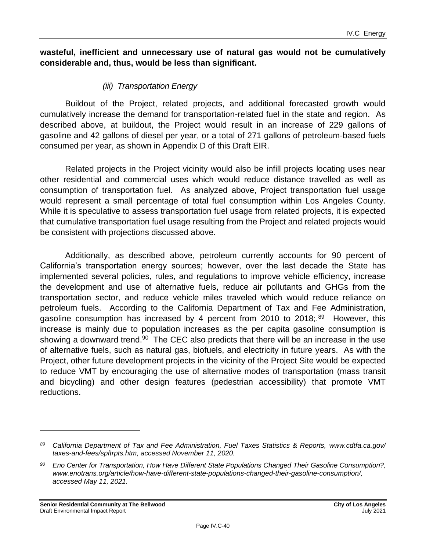#### **wasteful, inefficient and unnecessary use of natural gas would not be cumulatively considerable and, thus, would be less than significant.**

#### *(iii) Transportation Energy*

Buildout of the Project, related projects, and additional forecasted growth would cumulatively increase the demand for transportation-related fuel in the state and region. As described above, at buildout, the Project would result in an increase of 229 gallons of gasoline and 42 gallons of diesel per year, or a total of 271 gallons of petroleum-based fuels consumed per year, as shown in Appendix D of this Draft EIR.

Related projects in the Project vicinity would also be infill projects locating uses near other residential and commercial uses which would reduce distance travelled as well as consumption of transportation fuel. As analyzed above, Project transportation fuel usage would represent a small percentage of total fuel consumption within Los Angeles County. While it is speculative to assess transportation fuel usage from related projects, it is expected that cumulative transportation fuel usage resulting from the Project and related projects would be consistent with projections discussed above.

Additionally, as described above, petroleum currently accounts for 90 percent of California's transportation energy sources; however, over the last decade the State has implemented several policies, rules, and regulations to improve vehicle efficiency, increase the development and use of alternative fuels, reduce air pollutants and GHGs from the transportation sector, and reduce vehicle miles traveled which would reduce reliance on petroleum fuels. According to the California Department of Tax and Fee Administration, gasoline consumption has increased by 4 percent from 2010 to 2018;.<sup>89</sup> However, this increase is mainly due to population increases as the per capita gasoline consumption is showing a downward trend.<sup>90</sup> The CEC also predicts that there will be an increase in the use of alternative fuels, such as natural gas, biofuels, and electricity in future years. As with the Project, other future development projects in the vicinity of the Project Site would be expected to reduce VMT by encouraging the use of alternative modes of transportation (mass transit and bicycling) and other design features (pedestrian accessibility) that promote VMT reductions.

*<sup>89</sup> California Department of Tax and Fee Administration, Fuel Taxes Statistics & Reports, www.cdtfa.ca.gov/ taxes-and-fees/spftrpts.htm, accessed November 11, 2020.*

*<sup>90</sup> Eno Center for Transportation, How Have Different State Populations Changed Their Gasoline Consumption?, [www.enotrans.org/article/how-have-different-state-populations-changed-their-gasoline-consumption/,](https://www.enotrans.org/article/how-have-different-state-populations-changed-their-gasoline-consumption/) accessed May 11, 2021.*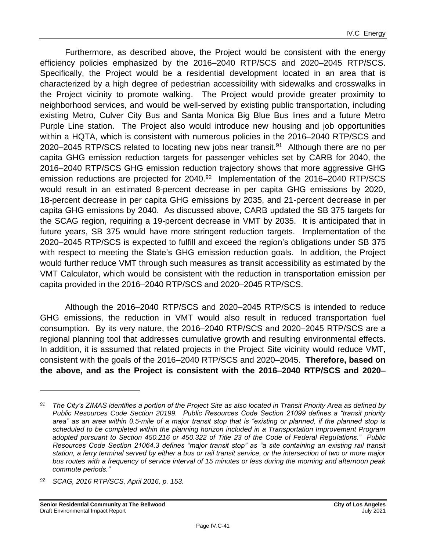Furthermore, as described above, the Project would be consistent with the energy efficiency policies emphasized by the 2016–2040 RTP/SCS and 2020–2045 RTP/SCS. Specifically, the Project would be a residential development located in an area that is characterized by a high degree of pedestrian accessibility with sidewalks and crosswalks in the Project vicinity to promote walking. The Project would provide greater proximity to neighborhood services, and would be well-served by existing public transportation, including existing Metro, Culver City Bus and Santa Monica Big Blue Bus lines and a future Metro Purple Line station. The Project also would introduce new housing and job opportunities within a HQTA, which is consistent with numerous policies in the 2016–2040 RTP/SCS and 2020–2045 RTP/SCS related to locating new jobs near transit.<sup>91</sup> Although there are no per capita GHG emission reduction targets for passenger vehicles set by CARB for 2040, the 2016–2040 RTP/SCS GHG emission reduction trajectory shows that more aggressive GHG emission reductions are projected for 2040.<sup>92</sup> Implementation of the 2016–2040 RTP/SCS would result in an estimated 8-percent decrease in per capita GHG emissions by 2020, 18-percent decrease in per capita GHG emissions by 2035, and 21-percent decrease in per capita GHG emissions by 2040. As discussed above, CARB updated the SB 375 targets for the SCAG region, requiring a 19-percent decrease in VMT by 2035. It is anticipated that in future years, SB 375 would have more stringent reduction targets. Implementation of the 2020–2045 RTP/SCS is expected to fulfill and exceed the region's obligations under SB 375 with respect to meeting the State's GHG emission reduction goals. In addition, the Project would further reduce VMT through such measures as transit accessibility as estimated by the VMT Calculator, which would be consistent with the reduction in transportation emission per capita provided in the 2016–2040 RTP/SCS and 2020–2045 RTP/SCS.

Although the 2016–2040 RTP/SCS and 2020–2045 RTP/SCS is intended to reduce GHG emissions, the reduction in VMT would also result in reduced transportation fuel consumption. By its very nature, the 2016–2040 RTP/SCS and 2020–2045 RTP/SCS are a regional planning tool that addresses cumulative growth and resulting environmental effects. In addition, it is assumed that related projects in the Project Site vicinity would reduce VMT, consistent with the goals of the 2016–2040 RTP/SCS and 2020–2045. **Therefore, based on the above, and as the Project is consistent with the 2016–2040 RTP/SCS and 2020–**

*<sup>92</sup> SCAG, 2016 RTP/SCS, April 2016, p. 153.*

*<sup>91</sup> The City's ZIMAS identifies a portion of the Project Site as also located in Transit Priority Area as defined by Public Resources Code Section 20199. Public Resources Code Section 21099 defines a "transit priority area" as an area within 0.5-mile of a major transit stop that is "existing or planned, if the planned stop is scheduled to be completed within the planning horizon included in a Transportation Improvement Program adopted pursuant to Section 450.216 or 450.322 of Title 23 of the Code of Federal Regulations." Public Resources Code Section 21064.3 defines "major transit stop" as "a site containing an existing rail transit station, a ferry terminal served by either a bus or rail transit service, or the intersection of two or more major bus routes with a frequency of service interval of 15 minutes or less during the morning and afternoon peak commute periods."*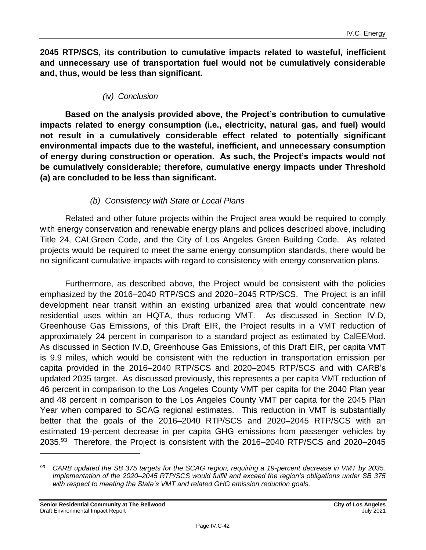**2045 RTP/SCS, its contribution to cumulative impacts related to wasteful, inefficient and unnecessary use of transportation fuel would not be cumulatively considerable and, thus, would be less than significant.**

#### *(*iv*) Conclusion*

**Based on the analysis provided above, the Project's contribution to cumulative impacts related to energy consumption (i.e., electricity, natural gas, and fuel) would not result in a cumulatively considerable effect related to potentially significant environmental impacts due to the wasteful, inefficient, and unnecessary consumption of energy during construction or operation. As such, the Project's impacts would not be cumulatively considerable; therefore, cumulative energy impacts under Threshold (a) are concluded to be less than significant.**

#### *(b) Consistency with State or Local Plans*

Related and other future projects within the Project area would be required to comply with energy conservation and renewable energy plans and polices described above, including Title 24, CALGreen Code, and the City of Los Angeles Green Building Code. As related projects would be required to meet the same energy consumption standards, there would be no significant cumulative impacts with regard to consistency with energy conservation plans.

Furthermore, as described above, the Project would be consistent with the policies emphasized by the 2016–2040 RTP/SCS and 2020–2045 RTP/SCS. The Project is an infill development near transit within an existing urbanized area that would concentrate new residential uses within an HQTA, thus reducing VMT. As discussed in Section IV.D, Greenhouse Gas Emissions, of this Draft EIR, the Project results in a VMT reduction of approximately 24 percent in comparison to a standard project as estimated by CalEEMod. As discussed in Section IV.D, Greenhouse Gas Emissions, of this Draft EIR, per capita VMT is 9.9 miles, which would be consistent with the reduction in transportation emission per capita provided in the 2016–2040 RTP/SCS and 2020–2045 RTP/SCS and with CARB's updated 2035 target. As discussed previously, this represents a per capita VMT reduction of 46 percent in comparison to the Los Angeles County VMT per capita for the 2040 Plan year and 48 percent in comparison to the Los Angeles County VMT per capita for the 2045 Plan Year when compared to SCAG regional estimates. This reduction in VMT is substantially better that the goals of the 2016–2040 RTP/SCS and 2020–2045 RTP/SCS with an estimated 19-percent decrease in per capita GHG emissions from passenger vehicles by 2035.<sup>93</sup> Therefore, the Project is consistent with the 2016–2040 RTP/SCS and 2020–2045

*<sup>93</sup> CARB updated the SB 375 targets for the SCAG region, requiring a 19-percent decrease in VMT by 2035. Implementation of the 2020–2045 RTP/SCS would fulfill and exceed the region's obligations under SB 375 with respect to meeting the State's VMT and related GHG emission reduction goals.*